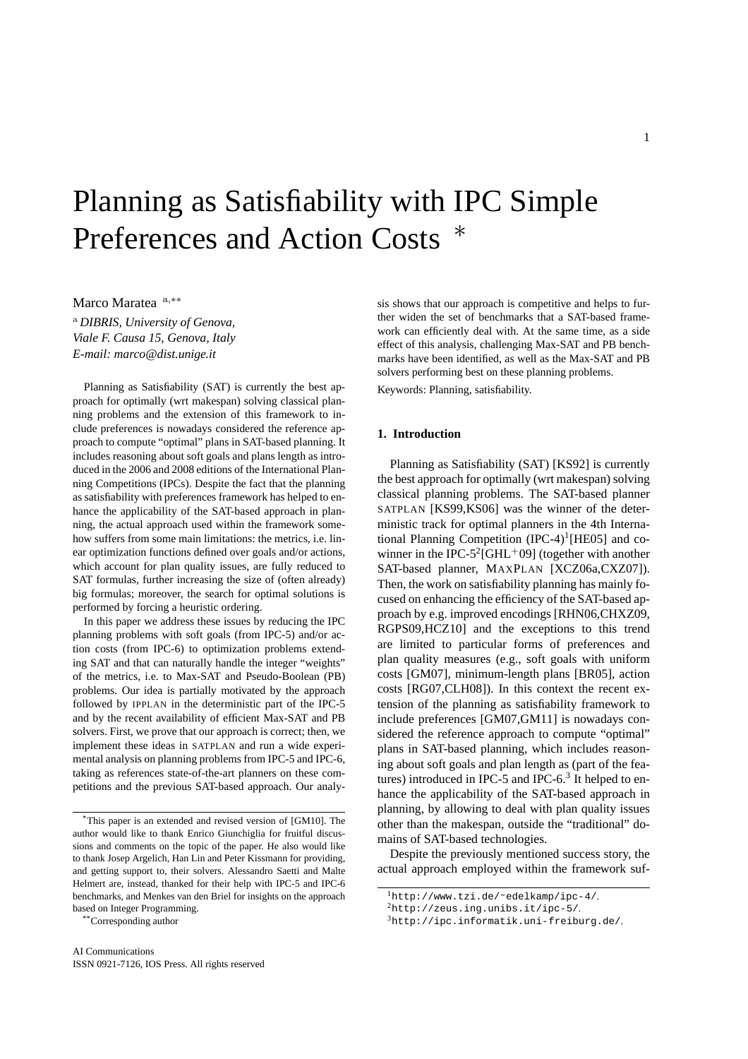# Planning as Satisfiability with IPC Simple Preferences and Action Costs

Marco Maratea a,\*\*

<sup>a</sup> *DIBRIS, University of Genova, Viale F. Causa 15, Genova, Italy E-mail: marco@dist.unige.it*

Planning as Satisfiability (SAT) is currently the best approach for optimally (wrt makespan) solving classical planning problems and the extension of this framework to include preferences is nowadays considered the reference approach to compute "optimal" plans in SAT-based planning. It includes reasoning about soft goals and plans length as introduced in the 2006 and 2008 editions of the International Planning Competitions (IPCs). Despite the fact that the planning as satisfiability with preferences framework has helped to enhance the applicability of the SAT-based approach in planning, the actual approach used within the framework somehow suffers from some main limitations: the metrics, i.e. linear optimization functions defined over goals and/or actions, which account for plan quality issues, are fully reduced to SAT formulas, further increasing the size of (often already) big formulas; moreover, the search for optimal solutions is performed by forcing a heuristic ordering.

In this paper we address these issues by reducing the IPC planning problems with soft goals (from IPC-5) and/or action costs (from IPC-6) to optimization problems extending SAT and that can naturally handle the integer "weights" of the metrics, i.e. to Max-SAT and Pseudo-Boolean (PB) problems. Our idea is partially motivated by the approach followed by IPPLAN in the deterministic part of the IPC-5 and by the recent availability of efficient Max-SAT and PB solvers. First, we prove that our approach is correct; then, we implement these ideas in SATPLAN and run a wide experimental analysis on planning problems from IPC-5 and IPC-6, taking as references state-of-the-art planners on these competitions and the previous SAT-based approach. Our analy-

\*\*Corresponding author

sis shows that our approach is competitive and helps to further widen the set of benchmarks that a SAT-based framework can efficiently deal with. At the same time, as a side effect of this analysis, challenging Max-SAT and PB benchmarks have been identified, as well as the Max-SAT and PB solvers performing best on these planning problems.

Keywords: Planning, satisfiability.

# **1. Introduction**

Planning as Satisfiability (SAT) [KS92] is currently the best approach for optimally (wrt makespan) solving classical planning problems. The SAT-based planner SATPLAN [KS99,KS06] was the winner of the deterministic track for optimal planners in the 4th International Planning Competition  $(IPC-4)^1[HE05]$  and cowinner in the IPC-5<sup>2</sup>[GHL<sup>+</sup>09] (together with another SAT-based planner, MAXPLAN [XCZ06a,CXZ07]). Then, the work on satisfiability planning has mainly focused on enhancing the efficiency of the SAT-based approach by e.g. improved encodings [RHN06,CHXZ09, RGPS09,HCZ10] and the exceptions to this trend are limited to particular forms of preferences and plan quality measures (e.g., soft goals with uniform costs [GM07], minimum-length plans [BR05], action costs [RG07,CLH08]). In this context the recent extension of the planning as satisfiability framework to include preferences [GM07,GM11] is nowadays considered the reference approach to compute "optimal" plans in SAT-based planning, which includes reasoning about soft goals and plan length as (part of the features) introduced in IPC-5 and IPC-6. $3$  It helped to enhance the applicability of the SAT-based approach in planning, by allowing to deal with plan quality issues other than the makespan, outside the "traditional" domains of SAT-based technologies.

Despite the previously mentioned success story, the actual approach employed within the framework suf-

<sup>\*</sup>This paper is an extended and revised version of [GM10]. The author would like to thank Enrico Giunchiglia for fruitful discussions and comments on the topic of the paper. He also would like to thank Josep Argelich, Han Lin and Peter Kissmann for providing, and getting support to, their solvers. Alessandro Saetti and Malte Helmert are, instead, thanked for their help with IPC-5 and IPC-6 benchmarks, and Menkes van den Briel for insights on the approach based on Integer Programming.

<sup>1</sup>http://www.tzi.de/˜edelkamp/ipc-4/.

<sup>2</sup>http://zeus.ing.unibs.it/ipc-5/.

<sup>3</sup>http://ipc.informatik.uni-freiburg.de/.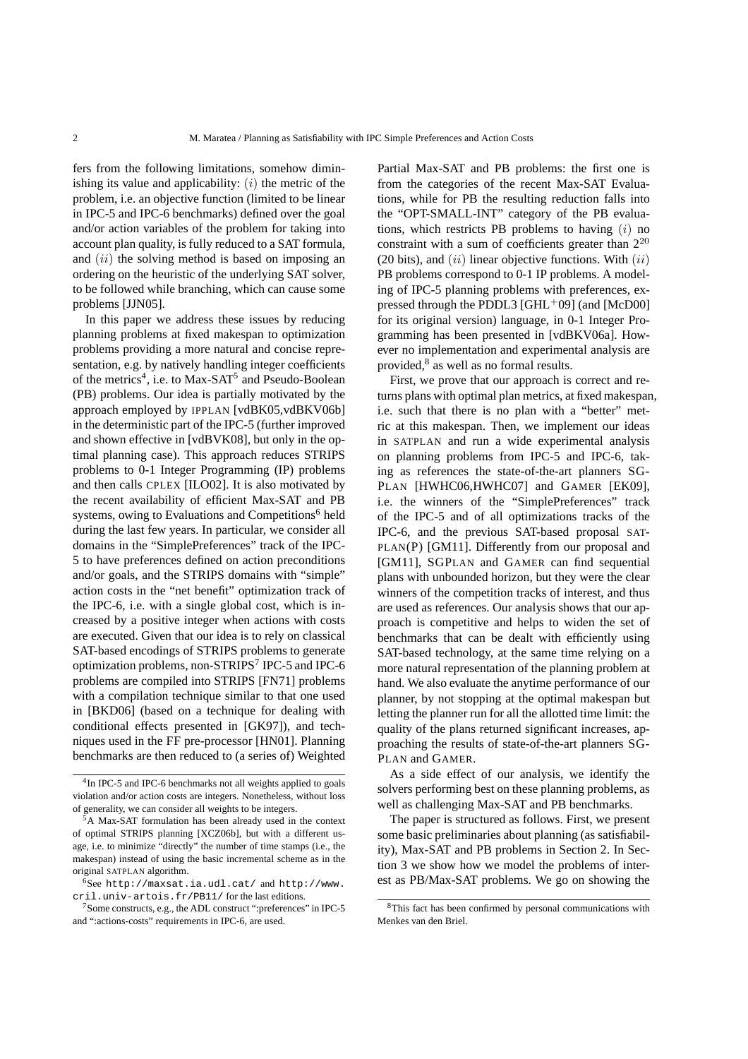fers from the following limitations, somehow diminishing its value and applicability:  $(i)$  the metric of the problem, i.e. an objective function (limited to be linear in IPC-5 and IPC-6 benchmarks) defined over the goal and/or action variables of the problem for taking into account plan quality, is fully reduced to a SAT formula, and  $(ii)$  the solving method is based on imposing an ordering on the heuristic of the underlying SAT solver, to be followed while branching, which can cause some problems [JJN05].

In this paper we address these issues by reducing planning problems at fixed makespan to optimization problems providing a more natural and concise representation, e.g. by natively handling integer coefficients of the metrics<sup>4</sup>, i.e. to Max-SAT<sup>5</sup> and Pseudo-Boolean (PB) problems. Our idea is partially motivated by the approach employed by IPPLAN [vdBK05,vdBKV06b] in the deterministic part of the IPC-5 (further improved and shown effective in [vdBVK08], but only in the optimal planning case). This approach reduces STRIPS problems to 0-1 Integer Programming (IP) problems and then calls CPLEX [ILO02]. It is also motivated by the recent availability of efficient Max-SAT and PB systems, owing to Evaluations and Competitions<sup>6</sup> held during the last few years. In particular, we consider all domains in the "SimplePreferences" track of the IPC-5 to have preferences defined on action preconditions and/or goals, and the STRIPS domains with "simple" action costs in the "net benefit" optimization track of the IPC-6, i.e. with a single global cost, which is increased by a positive integer when actions with costs are executed. Given that our idea is to rely on classical SAT-based encodings of STRIPS problems to generate optimization problems, non-STRIPS<sup>7</sup> IPC-5 and IPC-6 problems are compiled into STRIPS [FN71] problems with a compilation technique similar to that one used in [BKD06] (based on a technique for dealing with conditional effects presented in [GK97]), and techniques used in the FF pre-processor [HN01]. Planning benchmarks are then reduced to (a series of) Weighted Partial Max-SAT and PB problems: the first one is from the categories of the recent Max-SAT Evaluations, while for PB the resulting reduction falls into the "OPT-SMALL-INT" category of the PB evaluations, which restricts PB problems to having  $(i)$  no constraint with a sum of coefficients greater than  $2^{20}$ (20 bits), and  $(ii)$  linear objective functions. With  $(ii)$ PB problems correspond to 0-1 IP problems. A modeling of IPC-5 planning problems with preferences, expressed through the PDDL3 [GHL<sup>+</sup>09] (and [McD00] for its original version) language, in 0-1 Integer Programming has been presented in [vdBKV06a]. However no implementation and experimental analysis are provided,<sup>8</sup> as well as no formal results.

First, we prove that our approach is correct and returns plans with optimal plan metrics, at fixed makespan, i.e. such that there is no plan with a "better" metric at this makespan. Then, we implement our ideas in SATPLAN and run a wide experimental analysis on planning problems from IPC-5 and IPC-6, taking as references the state-of-the-art planners SG-PLAN [HWHC06,HWHC07] and GAMER [EK09], i.e. the winners of the "SimplePreferences" track of the IPC-5 and of all optimizations tracks of the IPC-6, and the previous SAT-based proposal SAT-PLAN(P) [GM11]. Differently from our proposal and [GM11], SGPLAN and GAMER can find sequential plans with unbounded horizon, but they were the clear winners of the competition tracks of interest, and thus are used as references. Our analysis shows that our approach is competitive and helps to widen the set of benchmarks that can be dealt with efficiently using SAT-based technology, at the same time relying on a more natural representation of the planning problem at hand. We also evaluate the anytime performance of our planner, by not stopping at the optimal makespan but letting the planner run for all the allotted time limit: the quality of the plans returned significant increases, approaching the results of state-of-the-art planners SG-PLAN and GAMER.

As a side effect of our analysis, we identify the solvers performing best on these planning problems, as well as challenging Max-SAT and PB benchmarks.

The paper is structured as follows. First, we present some basic preliminaries about planning (as satisfiability), Max-SAT and PB problems in Section 2. In Section 3 we show how we model the problems of interest as PB/Max-SAT problems. We go on showing the

<sup>4</sup> In IPC-5 and IPC-6 benchmarks not all weights applied to goals violation and/or action costs are integers. Nonetheless, without loss of generality, we can consider all weights to be integers.

<sup>5</sup>A Max-SAT formulation has been already used in the context of optimal STRIPS planning [XCZ06b], but with a different usage, i.e. to minimize "directly" the number of time stamps (i.e., the makespan) instead of using the basic incremental scheme as in the original SATPLAN algorithm.

<sup>6</sup>See http://maxsat.ia.udl.cat/ and http://www. cril.univ-artois.fr/PB11/ for the last editions.

<sup>7</sup>Some constructs, e.g., the ADL construct ":preferences" in IPC-5 and ":actions-costs" requirements in IPC-6, are used.

<sup>8</sup>This fact has been confirmed by personal communications with Menkes van den Briel.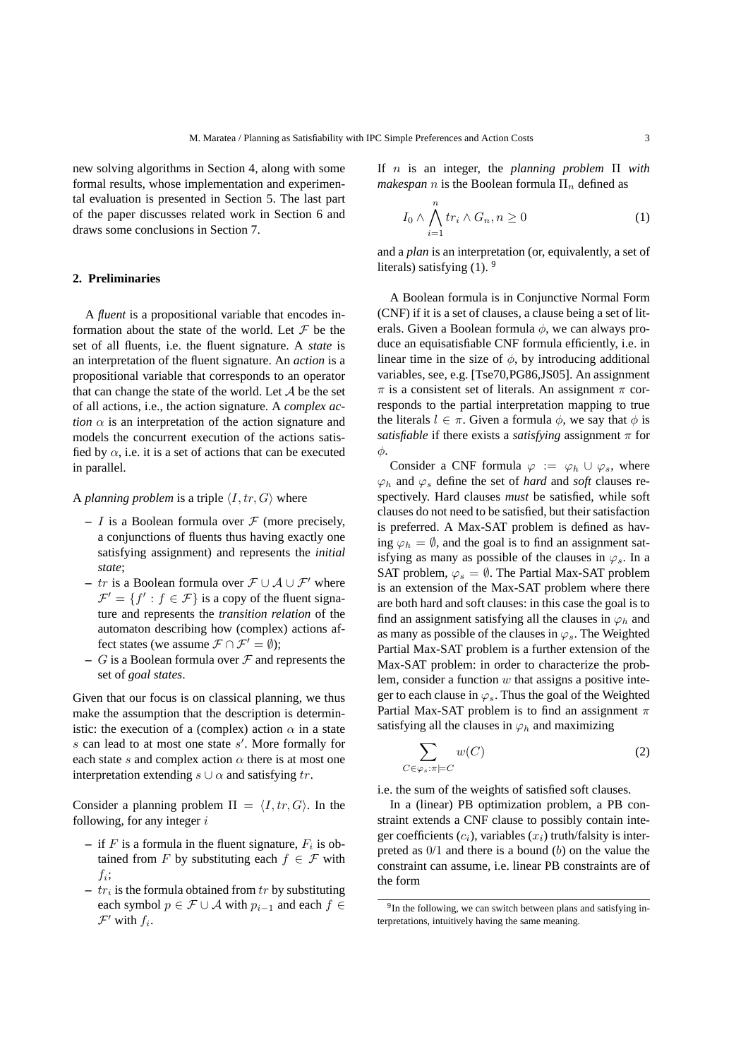new solving algorithms in Section 4, along with some formal results, whose implementation and experimental evaluation is presented in Section 5. The last part of the paper discusses related work in Section 6 and draws some conclusions in Section 7.

## **2. Preliminaries**

A *fluent* is a propositional variable that encodes information about the state of the world. Let  $\mathcal F$  be the set of all fluents, i.e. the fluent signature. A *state* is an interpretation of the fluent signature. An *action* is a propositional variable that corresponds to an operator that can change the state of the world. Let  $A$  be the set of all actions, i.e., the action signature. A *complex action*  $\alpha$  is an interpretation of the action signature and models the concurrent execution of the actions satisfied by  $\alpha$ , i.e. it is a set of actions that can be executed in parallel.

## A *planning problem* is a triple  $\langle I, tr, G \rangle$  where

- $-I$  is a Boolean formula over  $\mathcal F$  (more precisely, a conjunctions of fluents thus having exactly one satisfying assignment) and represents the *initial state*;
- **–** tr is a Boolean formula over F ∪ A ∪ F′ where  $\mathcal{F}' = \{f' : f \in \mathcal{F}\}\$ is a copy of the fluent signature and represents the *transition relation* of the automaton describing how (complex) actions affect states (we assume  $\mathcal{F} \cap \mathcal{F}' = \emptyset$ );
- $-$  G is a Boolean formula over  $\mathcal F$  and represents the set of *goal states*.

Given that our focus is on classical planning, we thus make the assumption that the description is deterministic: the execution of a (complex) action  $\alpha$  in a state s can lead to at most one state s'. More formally for each state s and complex action  $\alpha$  there is at most one interpretation extending  $s \cup \alpha$  and satisfying tr.

Consider a planning problem  $\Pi = \langle I, tr, G \rangle$ . In the following, for any integer  $i$ 

- $-$  if F is a formula in the fluent signature,  $F_i$  is obtained from F by substituting each  $f \in \mathcal{F}$  with  $f_i$ ;
- $tr_i$  is the formula obtained from  $tr$  by substituting each symbol  $p \in \mathcal{F} \cup \mathcal{A}$  with  $p_{i-1}$  and each  $f \in$  $\mathcal{F}'$  with  $f_i$ .

If n is an integer, the *planning problem* Π *with makespan n* is the Boolean formula  $\Pi_n$  defined as

$$
I_0 \wedge \bigwedge_{i=1}^n tr_i \wedge G_n, n \ge 0 \tag{1}
$$

and a *plan* is an interpretation (or, equivalently, a set of literals) satisfying  $(1)$ . <sup>9</sup>

A Boolean formula is in Conjunctive Normal Form (CNF) if it is a set of clauses, a clause being a set of literals. Given a Boolean formula  $\phi$ , we can always produce an equisatisfiable CNF formula efficiently, i.e. in linear time in the size of  $\phi$ , by introducing additional variables, see, e.g. [Tse70,PG86,JS05]. An assignment  $\pi$  is a consistent set of literals. An assignment  $\pi$  corresponds to the partial interpretation mapping to true the literals  $l \in \pi$ . Given a formula  $\phi$ , we say that  $\phi$  is *satisfiable* if there exists a *satisfying* assignment  $\pi$  for  $\phi$ .

Consider a CNF formula  $\varphi := \varphi_h \cup \varphi_s$ , where  $\varphi_h$  and  $\varphi_s$  define the set of *hard* and *soft* clauses respectively. Hard clauses *must* be satisfied, while soft clauses do not need to be satisfied, but their satisfaction is preferred. A Max-SAT problem is defined as having  $\varphi_h = \emptyset$ , and the goal is to find an assignment satisfying as many as possible of the clauses in  $\varphi_s$ . In a SAT problem,  $\varphi_s = \emptyset$ . The Partial Max-SAT problem is an extension of the Max-SAT problem where there are both hard and soft clauses: in this case the goal is to find an assignment satisfying all the clauses in  $\varphi_h$  and as many as possible of the clauses in  $\varphi_s$ . The Weighted Partial Max-SAT problem is a further extension of the Max-SAT problem: in order to characterize the problem, consider a function  $w$  that assigns a positive integer to each clause in  $\varphi_s$ . Thus the goal of the Weighted Partial Max-SAT problem is to find an assignment  $\pi$ satisfying all the clauses in  $\varphi_h$  and maximizing

$$
\sum_{C \in \varphi_s : \pi \models C} w(C) \tag{2}
$$

i.e. the sum of the weights of satisfied soft clauses.

In a (linear) PB optimization problem, a PB constraint extends a CNF clause to possibly contain integer coefficients  $(c_i)$ , variables  $(x_i)$  truth/falsity is interpreted as  $0/1$  and there is a bound (b) on the value the constraint can assume, i.e. linear PB constraints are of the form

<sup>&</sup>lt;sup>9</sup>In the following, we can switch between plans and satisfying interpretations, intuitively having the same meaning.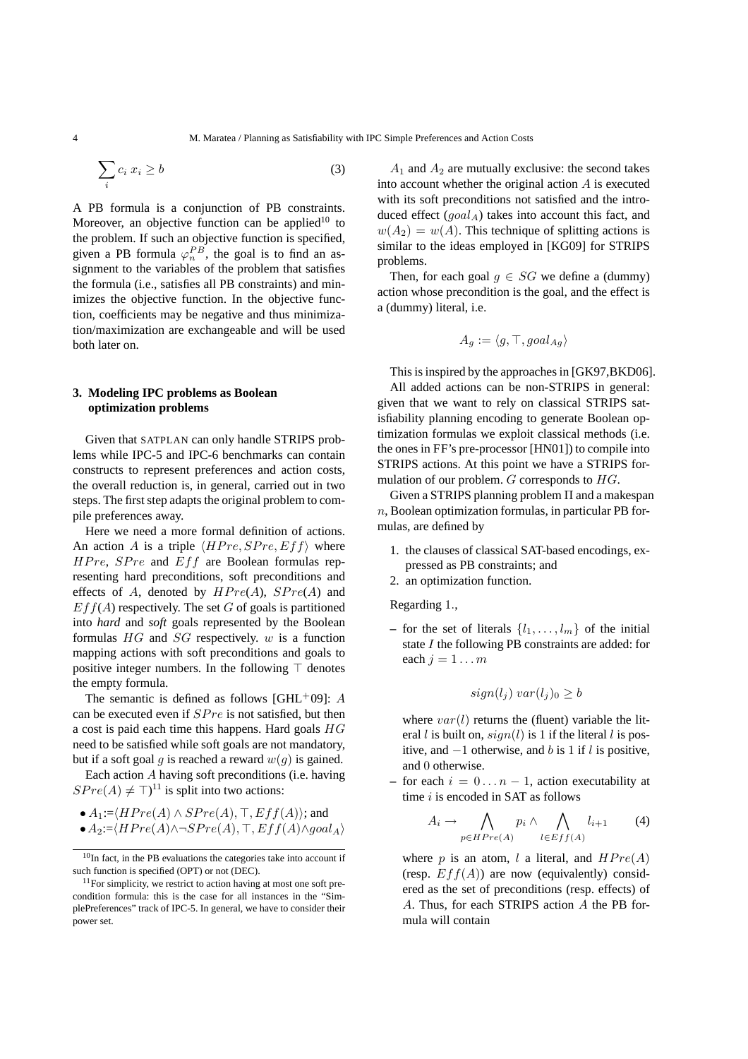$$
\sum_{i} c_i \ x_i \ge b \tag{3}
$$

A PB formula is a conjunction of PB constraints. Moreover, an objective function can be applied<sup>10</sup> to the problem. If such an objective function is specified, given a PB formula  $\varphi_n^{PB}$ , the goal is to find an assignment to the variables of the problem that satisfies the formula (i.e., satisfies all PB constraints) and minimizes the objective function. In the objective function, coefficients may be negative and thus minimization/maximization are exchangeable and will be used both later on.

# **3. Modeling IPC problems as Boolean optimization problems**

Given that SATPLAN can only handle STRIPS problems while IPC-5 and IPC-6 benchmarks can contain constructs to represent preferences and action costs, the overall reduction is, in general, carried out in two steps. The first step adapts the original problem to compile preferences away.

Here we need a more formal definition of actions. An action A is a triple  $\langle HPre, SPre, Eff \rangle$  where  $HPre$ ,  $SPre$  and  $Eff$  are Boolean formulas representing hard preconditions, soft preconditions and effects of A, denoted by  $HPre(A)$ ,  $SPre(A)$  and  $E f f(A)$  respectively. The set G of goals is partitioned into *hard* and *soft* goals represented by the Boolean formulas  $HG$  and  $SG$  respectively.  $w$  is a function mapping actions with soft preconditions and goals to positive integer numbers. In the following  $\top$  denotes the empty formula.

The semantic is defined as follows  $[GHL^+09]$ : A can be executed even if  $SPre$  is not satisfied, but then a cost is paid each time this happens. Hard goals  $HG$ need to be satisfied while soft goals are not mandatory, but if a soft goal g is reached a reward  $w(q)$  is gained.

Each action A having soft preconditions (i.e. having  $SPre(A) \neq \top$ <sup>11</sup> is split into two actions:

• 
$$
A_1:=\langle HPre(A) \wedge SPre(A), \top, Eff(A) \rangle
$$
; and

$$
\bullet A_2:=\langle HPre(A)\wedge \neg SPre(A), \top, Eff(A)\wedge goal_A\rangle
$$

 $A_1$  and  $A_2$  are mutually exclusive: the second takes into account whether the original action  $A$  is executed with its soft preconditions not satisfied and the introduced effect  $(qoal_A)$  takes into account this fact, and  $w(A_2) = w(A)$ . This technique of splitting actions is similar to the ideas employed in [KG09] for STRIPS problems.

Then, for each goal  $g \in SG$  we define a (dummy) action whose precondition is the goal, and the effect is a (dummy) literal, i.e.

$$
A_g := \langle g, \top, goal_{Ag} \rangle
$$

This is inspired by the approaches in [GK97,BKD06].

All added actions can be non-STRIPS in general: given that we want to rely on classical STRIPS satisfiability planning encoding to generate Boolean optimization formulas we exploit classical methods (i.e. the ones in FF's pre-processor [HN01]) to compile into STRIPS actions. At this point we have a STRIPS formulation of our problem. G corresponds to HG.

Given a STRIPS planning problem Π and a makespan  $n$ , Boolean optimization formulas, in particular PB formulas, are defined by

- 1. the clauses of classical SAT-based encodings, expressed as PB constraints; and
- 2. an optimization function.

Regarding 1.,

– for the set of literals  $\{l_1, \ldots, l_m\}$  of the initial state  $I$  the following PB constraints are added: for each  $j = 1 \dots m$ 

$$
sign(l_j) \, var(l_j)_0 \ge b
$$

where  $var(l)$  returns the (fluent) variable the literal l is built on,  $sign(l)$  is 1 if the literal l is positive, and  $−1$  otherwise, and b is 1 if l is positive, and 0 otherwise.

 $-$  for each  $i = 0...n - 1$ , action executability at time  $i$  is encoded in SAT as follows

$$
A_i \to \bigwedge_{p \in HPre(A)} p_i \land \bigwedge_{l \in Eff(A)} l_{i+1} \tag{4}
$$

where p is an atom, l a literal, and  $HPre(A)$ (resp.  $Eff(A)$ ) are now (equivalently) considered as the set of preconditions (resp. effects) of A. Thus, for each STRIPS action A the PB formula will contain

 $10$ In fact, in the PB evaluations the categories take into account if such function is specified (OPT) or not (DEC).

<sup>&</sup>lt;sup>11</sup>For simplicity, we restrict to action having at most one soft precondition formula: this is the case for all instances in the "SimplePreferences" track of IPC-5. In general, we have to consider their power set.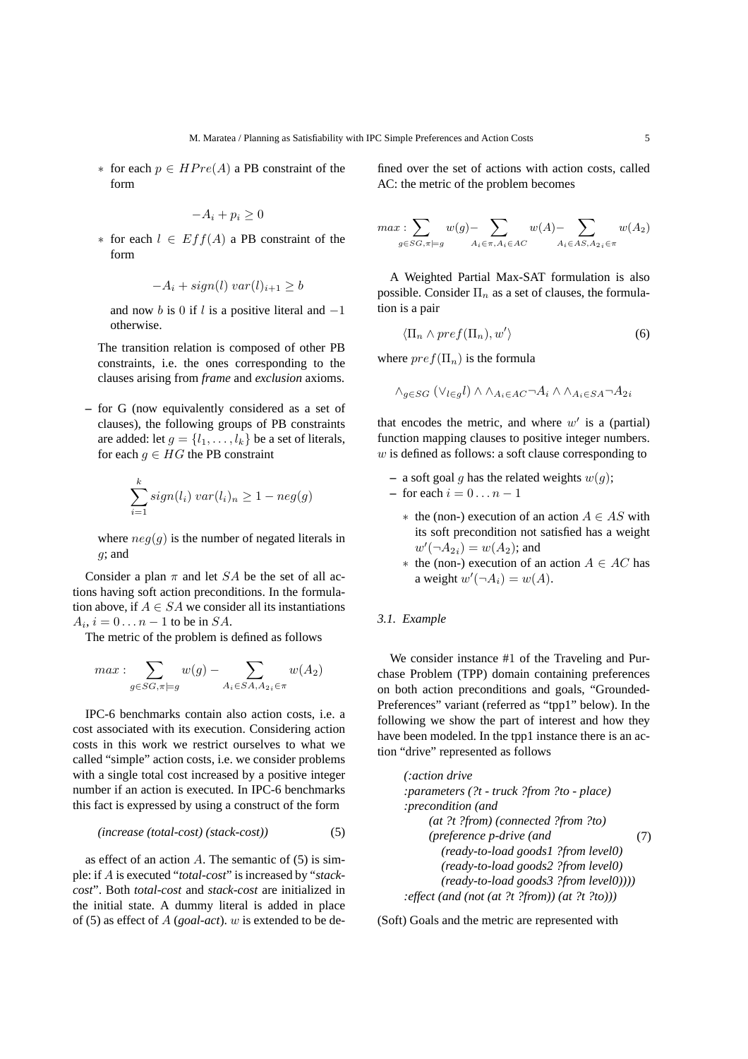$∗$  for each  $p ∈ HPre(A)$  a PB constraint of the form

$$
-A_i+p_i\geq 0
$$

∗ for each l ∈ Eff(A) a PB constraint of the form

$$
-A_i + sign(l) \, var(l)_{i+1} \ge b
$$

and now b is 0 if l is a positive literal and  $-1$ otherwise.

The transition relation is composed of other PB constraints, i.e. the ones corresponding to the clauses arising from *frame* and *exclusion* axioms.

**–** for G (now equivalently considered as a set of clauses), the following groups of PB constraints are added: let  $q = \{l_1, \ldots, l_k\}$  be a set of literals, for each  $g \in HG$  the PB constraint

$$
\sum_{i=1}^{k} sign(l_i) \; var(l_i)_n \ge 1 - neg(g)
$$

where  $neg(g)$  is the number of negated literals in  $g$ ; and

Consider a plan  $\pi$  and let SA be the set of all actions having soft action preconditions. In the formulation above, if  $A \in SA$  we consider all its instantiations  $A_i$ ,  $i = 0 \dots n-1$  to be in  $SA$ .

The metric of the problem is defined as follows

$$
max: \sum_{g \in SG, \pi \models g} w(g) - \sum_{A_i \in SA, A_{2i} \in \pi} w(A_2)
$$

IPC-6 benchmarks contain also action costs, i.e. a cost associated with its execution. Considering action costs in this work we restrict ourselves to what we called "simple" action costs, i.e. we consider problems with a single total cost increased by a positive integer number if an action is executed. In IPC-6 benchmarks this fact is expressed by using a construct of the form

$$
(increase (total-cost) (stack-cost))
$$
 (5)

as effect of an action  $A$ . The semantic of (5) is simple: if A is executed "*total-cost*" is increased by "*stackcost*". Both *total-cost* and *stack-cost* are initialized in the initial state. A dummy literal is added in place of (5) as effect of A (*goal-act*). w is extended to be defined over the set of actions with action costs, called AC: the metric of the problem becomes

$$
max: \hspace{-1ex}\sum_{g\in SG, \pi\models g}w(g)-\hspace{-1ex}\sum_{A_i\in \pi, A_i\in AC}w(A)-\hspace{-1ex}\sum_{A_i\in AS, A_{2}}w(A_2)
$$

A Weighted Partial Max-SAT formulation is also possible. Consider  $\Pi_n$  as a set of clauses, the formulation is a pair

$$
\langle \Pi_n \wedge pref(\Pi_n), w' \rangle \tag{6}
$$

where  $pref(\Pi_n)$  is the formula

$$
\wedge_{g\in SG}(\vee_{l\in g}l)\wedge\wedge_{A_i\in AC}\neg A_i\wedge\wedge_{A_i\in SA}\neg A_{2i}
$$

that encodes the metric, and where  $w'$  is a (partial) function mapping clauses to positive integer numbers.  $w$  is defined as follows: a soft clause corresponding to

- **–** a soft goal g has the related weights  $w(g)$ ;  $-$  for each  $i = 0 \dots n - 1$ 
	- \* the (non-) execution of an action  $A \in AS$  with its soft precondition not satisfied has a weight  $w'(\neg A_{2i}) = w(A_2)$ ; and
	- ∗ the (non-) execution of an action A ∈ AC has a weight  $w'(\neg A_i) = w(A)$ .

# *3.1. Example*

We consider instance #1 of the Traveling and Purchase Problem (TPP) domain containing preferences on both action preconditions and goals, "Grounded-Preferences" variant (referred as "tpp1" below). In the following we show the part of interest and how they have been modeled. In the tpp1 instance there is an action "drive" represented as follows

*(:action drive :parameters (?t - truck ?from ?to - place) :precondition (and (at ?t ?from) (connected ?from ?to) (preference p-drive (and (ready-to-load goods1 ?from level0) (ready-to-load goods2 ?from level0) (ready-to-load goods3 ?from level0)))) :effect (and (not (at ?t ?from)) (at ?t ?to)))* (7)

(Soft) Goals and the metric are represented with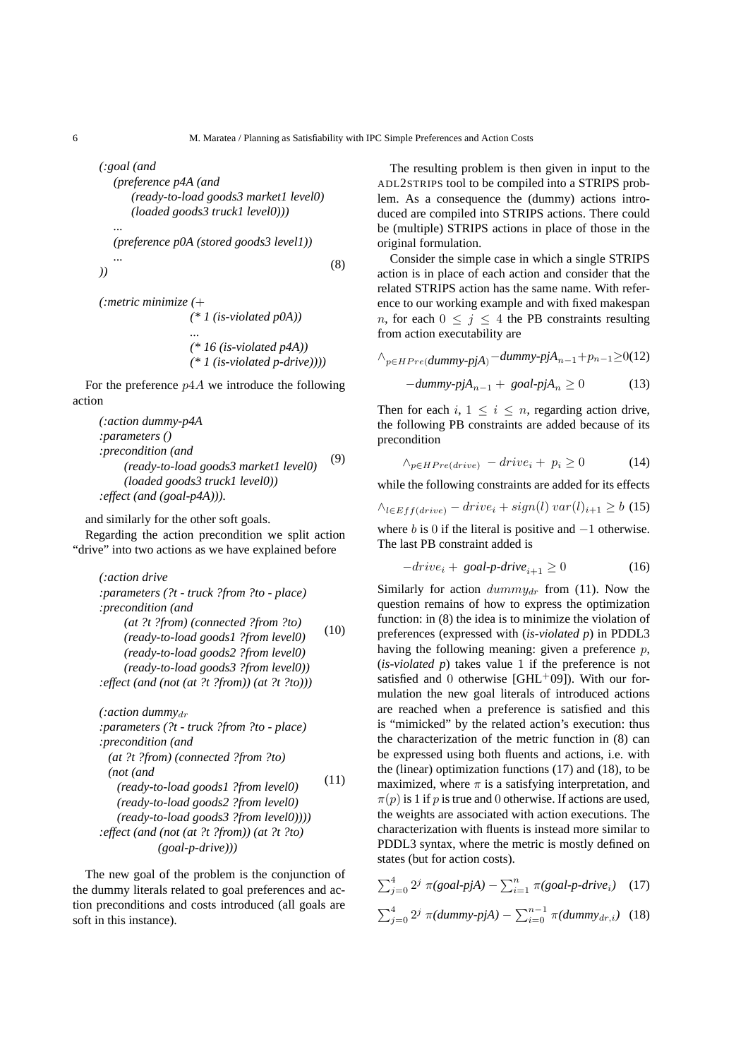*(:goal (and (preference p4A (and*

*(ready-to-load goods3 market1 level0) (loaded goods3 truck1 level0))) ...*

$$
(preference p0A (stored goods3 level1))
$$
  
... (8)

*(:metric minimize (*+ *(\* 1 (is-violated p0A)) ... (\* 16 (is-violated p4A)) (\* 1 (is-violated p-drive))))*

For the preference  $p4A$  we introduce the following action

```
(:action dummy-p4A
:parameters ()
:precondition (and
     (ready-to-load goods3 market1 level0)
     (loaded goods3 truck1 level0))
:effect (and (goal-p4A))).
                                              (9)
```
and similarly for the other soft goals.

Regarding the action precondition we split action "drive" into two actions as we have explained before

*(:action drive :parameters (?t - truck ?from ?to - place) :precondition (and (at ?t ?from) (connected ?from ?to) (ready-to-load goods1 ?from level0) (ready-to-load goods2 ?from level0) (ready-to-load goods3 ?from level0)) :effect (and (not (at ?t ?from)) (at ?t ?to)))* (10)

*(:action dummy<sub>dr</sub>*) *:parameters (?t - truck ?from ?to - place) :precondition (and (at ?t ?from) (connected ?from ?to) (not (and (ready-to-load goods1 ?from level0) (ready-to-load goods2 ?from level0) (ready-to-load goods3 ?from level0)))) :effect (and (not (at ?t ?from)) (at ?t ?to) (goal-p-drive)))* (11)

The new goal of the problem is the conjunction of the dummy literals related to goal preferences and action preconditions and costs introduced (all goals are soft in this instance).

The resulting problem is then given in input to the ADL2STRIPS tool to be compiled into a STRIPS problem. As a consequence the (dummy) actions introduced are compiled into STRIPS actions. There could be (multiple) STRIPS actions in place of those in the original formulation.

Consider the simple case in which a single STRIPS action is in place of each action and consider that the related STRIPS action has the same name. With reference to our working example and with fixed makespan n, for each  $0 \leq j \leq 4$  the PB constraints resulting from action executability are

$$
\wedge_{p \in HPre(dummy\text{-}pjA)} - \text{dummy-pjA}_{n-1} + p_{n-1} \ge 0 \text{(12)}
$$

$$
-dummy\cdot pjA_{n-1} + goal\cdot pjA_n \ge 0 \tag{13}
$$

Then for each  $i, 1 \leq i \leq n$ , regarding action drive, the following PB constraints are added because of its precondition

$$
\wedge_{p \in HPre(drive)} - drive_i + p_i \ge 0 \tag{14}
$$

while the following constraints are added for its effects

$$
\wedge_{l \in Eff(drive)} - drive_i + sign(l) \; var(l)_{i+1} \ge b \; (15)
$$

where b is 0 if the literal is positive and  $-1$  otherwise. The last PB constraint added is

$$
-drive_i + goal\text{-}drive_{i+1} \ge 0 \tag{16}
$$

Similarly for action  $dumm y_{dr}$  from (11). Now the question remains of how to express the optimization function: in (8) the idea is to minimize the violation of preferences (expressed with (*is-violated p*) in PDDL3 having the following meaning: given a preference  $p$ , (*is-violated p*) takes value 1 if the preference is not satisfied and 0 otherwise [GHL+09]). With our formulation the new goal literals of introduced actions are reached when a preference is satisfied and this is "mimicked" by the related action's execution: thus the characterization of the metric function in (8) can be expressed using both fluents and actions, i.e. with the (linear) optimization functions (17) and (18), to be maximized, where  $\pi$  is a satisfying interpretation, and  $\pi(p)$  is 1 if p is true and 0 otherwise. If actions are used, the weights are associated with action executions. The characterization with fluents is instead more similar to PDDL3 syntax, where the metric is mostly defined on states (but for action costs).

$$
\sum_{j=0}^{4} 2^{j} \pi(\text{goal-pjA}) - \sum_{i=1}^{n} \pi(\text{goal-p-driveni}) \quad (17)
$$

$$
\sum_{j=0}^{4} 2^{j} \pi(dummy\text{-}pjA) - \sum_{i=0}^{n-1} \pi(dummy_{dr,i}) \quad (18)
$$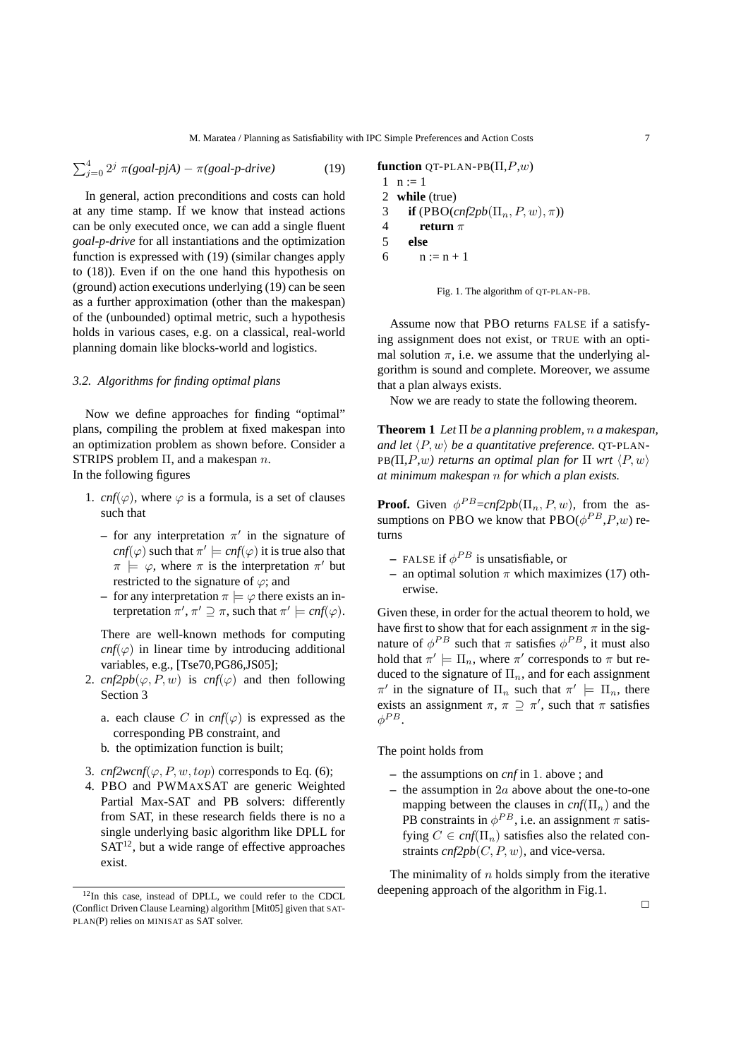$$
\sum_{j=0}^{4} 2^{j} \pi(goal-pjA) - \pi(goal-p-drive)
$$
 (19)

In general, action preconditions and costs can hold at any time stamp. If we know that instead actions can be only executed once, we can add a single fluent *goal-p-drive* for all instantiations and the optimization function is expressed with (19) (similar changes apply to (18)). Even if on the one hand this hypothesis on (ground) action executions underlying (19) can be seen as a further approximation (other than the makespan) of the (unbounded) optimal metric, such a hypothesis holds in various cases, e.g. on a classical, real-world planning domain like blocks-world and logistics.

# *3.2. Algorithms for finding optimal plans*

Now we define approaches for finding "optimal" plans, compiling the problem at fixed makespan into an optimization problem as shown before. Consider a STRIPS problem  $\Pi$ , and a makespan n. In the following figures

- 1. *cnf*( $\varphi$ ), where  $\varphi$  is a formula, is a set of clauses such that
	- $-$  for any interpretation  $\pi'$  in the signature of  $cnf(\varphi)$  such that  $\pi' \models cnf(\varphi)$  it is true also that  $\pi$   $\models$   $\varphi$ , where  $\pi$  is the interpretation  $\pi'$  but restricted to the signature of  $\varphi$ ; and
	- **–** for any interpretation  $\pi \models \varphi$  there exists an interpretation  $\pi', \pi' \supseteq \pi$ , such that  $\pi' \models \textit{cnf}(\varphi)$ .

There are well-known methods for computing  $cnf(\varphi)$  in linear time by introducing additional variables, e.g., [Tse70,PG86,JS05];

- 2.  $cnf2pb(\varphi, P, w)$  is  $cnf(\varphi)$  and then following Section 3
	- a. each clause C in  $cnf(\varphi)$  is expressed as the corresponding PB constraint, and
	- b. the optimization function is built;
- 3.  $cnf2wcnf(\varphi, P, w, top)$  corresponds to Eq. (6);
- 4. PBO and PWMAXSAT are generic Weighted Partial Max-SAT and PB solvers: differently from SAT, in these research fields there is no a single underlying basic algorithm like DPLL for  $SAT<sup>12</sup>$ , but a wide range of effective approaches exist.

```
function QT-PLAN-PB(\Pi, P, w)1 \; n := 12 while (true)
 3 if (PBO(\text{cnf2pb}(\Pi_n, P, w), \pi))4 return π
 5 else
 6 n := n + 1
```


Assume now that PBO returns FALSE if a satisfying assignment does not exist, or TRUE with an optimal solution  $\pi$ , i.e. we assume that the underlying algorithm is sound and complete. Moreover, we assume that a plan always exists.

Now we are ready to state the following theorem.

**Theorem 1** *Let* Π *be a planning problem,* n *a makespan, and let*  $\langle P, w \rangle$  *be a quantitative preference.* QT-PLAN-PB $(\Pi, P, w)$  returns an optimal plan for  $\Pi$  wrt  $\langle P, w \rangle$ *at minimum makespan* n *for which a plan exists.*

**Proof.** Given  $\phi^{PB} = cnf2pb(\Pi_n, P, w)$ , from the assumptions on PBO we know that  $PBO(\phi^{PB}, P, w)$  returns

- $-$  FALSE if  $\phi^{PB}$  is unsatisfiable, or
- **–** an optimal solution  $\pi$  which maximizes (17) otherwise.

Given these, in order for the actual theorem to hold, we have first to show that for each assignment  $\pi$  in the signature of  $\phi^{PB}$  such that  $\pi$  satisfies  $\phi^{PB}$ , it must also hold that  $\pi' \models \Pi_n$ , where  $\pi'$  corresponds to  $\pi$  but reduced to the signature of  $\Pi_n$ , and for each assignment  $\pi'$  in the signature of  $\Pi_n$  such that  $\pi' \models \Pi_n$ , there exists an assignment  $\pi$ ,  $\pi \supseteq \pi'$ , such that  $\pi$  satisfies  $\phi^{PB}.$ 

The point holds from

- **–** the assumptions on *cnf* in 1. above ; and
- **–** the assumption in 2a above about the one-to-one mapping between the clauses in  $cnf(\Pi_n)$  and the PB constraints in  $\phi^{PB}$ , i.e. an assignment  $\pi$  satisfying  $C \in \text{cnf}(\Pi_n)$  satisfies also the related constraints  $cnf2pb(C, P, w)$ , and vice-versa.

The minimality of  $n$  holds simply from the iterative deepening approach of the algorithm in Fig.1.

<sup>12</sup>In this case, instead of DPLL, we could refer to the CDCL (Conflict Driven Clause Learning) algorithm [Mit05] given that SAT-PLAN(P) relies on MINISAT as SAT solver.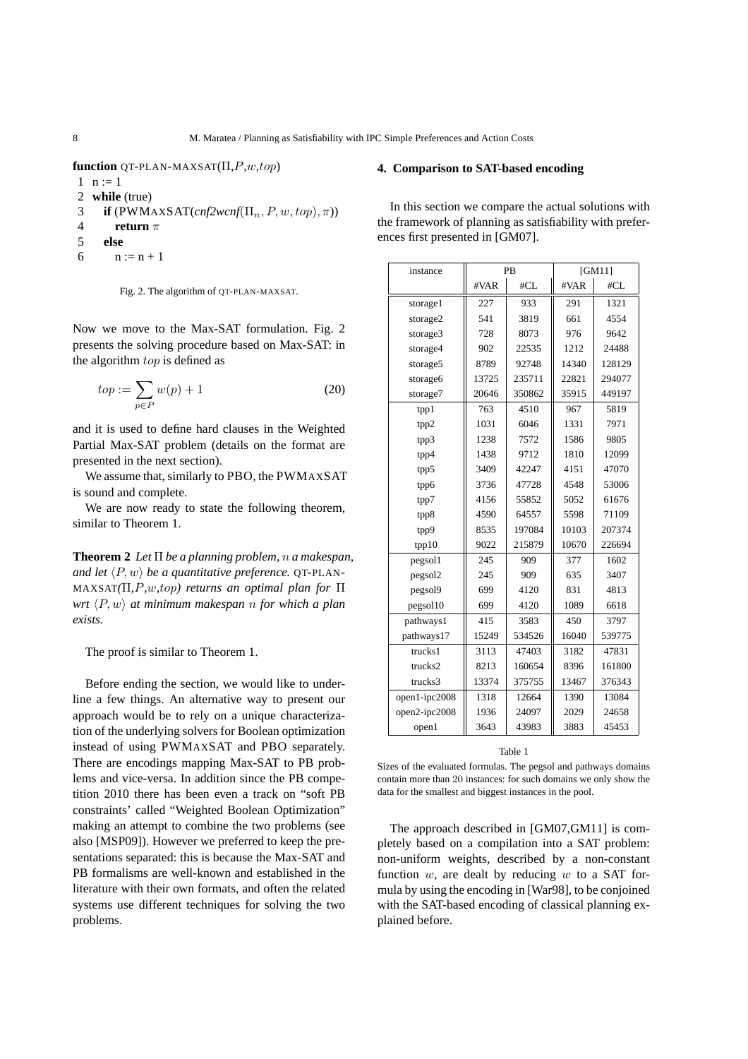**function** QT-PLAN-MAXSAT(Π,P,w,top)

```
1 \quad n := 1
```
- 2 **while** (true)
- 3 **if**  $(PWMAXSAT(cnf2wcnf(\Pi_n, P, w, top), \pi))$
- 4 **return** π
- 5 **else**
- 6  $n := n + 1$

Fig. 2. The algorithm of QT-PLAN-MAXSAT.

Now we move to the Max-SAT formulation. Fig. 2 presents the solving procedure based on Max-SAT: in the algorithm top is defined as

$$
top := \sum_{p \in P} w(p) + 1 \tag{20}
$$

and it is used to define hard clauses in the Weighted Partial Max-SAT problem (details on the format are presented in the next section).

We assume that, similarly to PBO, the PWMAXSAT is sound and complete.

We are now ready to state the following theorem, similar to Theorem 1.

**Theorem 2** *Let* Π *be a planning problem,* n *a makespan, and let*  $\langle P, w \rangle$  *be a quantitative preference.* QT-PLAN-MAXSAT*(*Π*,*P*,*w*,*top*) returns an optimal plan for* Π *wrt*  $\langle P, w \rangle$  *at minimum makespan n for which a plan exists.*

The proof is similar to Theorem 1.

Before ending the section, we would like to underline a few things. An alternative way to present our approach would be to rely on a unique characterization of the underlying solvers for Boolean optimization instead of using PWMAXSAT and PBO separately. There are encodings mapping Max-SAT to PB problems and vice-versa. In addition since the PB competition 2010 there has been even a track on "soft PB constraints' called "Weighted Boolean Optimization" making an attempt to combine the two problems (see also [MSP09]). However we preferred to keep the presentations separated: this is because the Max-SAT and PB formalisms are well-known and established in the literature with their own formats, and often the related systems use different techniques for solving the two problems.

#### **4. Comparison to SAT-based encoding**

In this section we compare the actual solutions with the framework of planning as satisfiability with preferences first presented in [GM07].

| instance            | PB    |        | [GM11] |        |
|---------------------|-------|--------|--------|--------|
|                     | #VAR  | #CL    | #VAR   | #CL    |
| storage1            | 227   | 933    | 291    | 1321   |
| storage2            | 541   | 3819   | 661    | 4554   |
| storage3            | 728   | 8073   | 976    | 9642   |
| storage4            | 902   | 22535  | 1212   | 24488  |
| storage5            | 8789  | 92748  | 14340  | 128129 |
| storage6            | 13725 | 235711 | 22821  | 294077 |
| storage7            | 20646 | 350862 | 35915  | 449197 |
| tpp1                | 763   | 4510   | 967    | 5819   |
| tpp2                | 1031  | 6046   | 1331   | 7971   |
| tpp3                | 1238  | 7572   | 1586   | 9805   |
| tpp4                | 1438  | 9712   | 1810   | 12099  |
| tpp5                | 3409  | 42247  | 4151   | 47070  |
| tpp6                | 3736  | 47728  | 4548   | 53006  |
| tpp7                | 4156  | 55852  | 5052   | 61676  |
| tpp8                | 4590  | 64557  | 5598   | 71109  |
| tpp9                | 8535  | 197084 | 10103  | 207374 |
| tpp10               | 9022  | 215879 | 10670  | 226694 |
| pegsol1             | 245   | 909    | 377    | 1602   |
| pegsol <sub>2</sub> | 245   | 909    | 635    | 3407   |
| pegsol9             | 699   | 4120   | 831    | 4813   |
| pegsol10            | 699   | 4120   | 1089   | 6618   |
| pathways1           | 415   | 3583   | 450    | 3797   |
| pathways17          | 15249 | 534526 | 16040  | 539775 |
| trucks1             | 3113  | 47403  | 3182   | 47831  |
| trucks2             | 8213  | 160654 | 8396   | 161800 |
| trucks3             | 13374 | 375755 | 13467  | 376343 |
| open1-ipc2008       | 1318  | 12664  | 1390   | 13084  |
| open2-ipc2008       | 1936  | 24097  | 2029   | 24658  |
| open1               | 3643  | 43983  | 3883   | 45453  |

Table 1

Sizes of the evaluated formulas. The pegsol and pathways domains contain more than 20 instances: for such domains we only show the data for the smallest and biggest instances in the pool.

The approach described in [GM07,GM11] is completely based on a compilation into a SAT problem: non-uniform weights, described by a non-constant function  $w$ , are dealt by reducing  $w$  to a SAT formula by using the encoding in [War98], to be conjoined with the SAT-based encoding of classical planning explained before.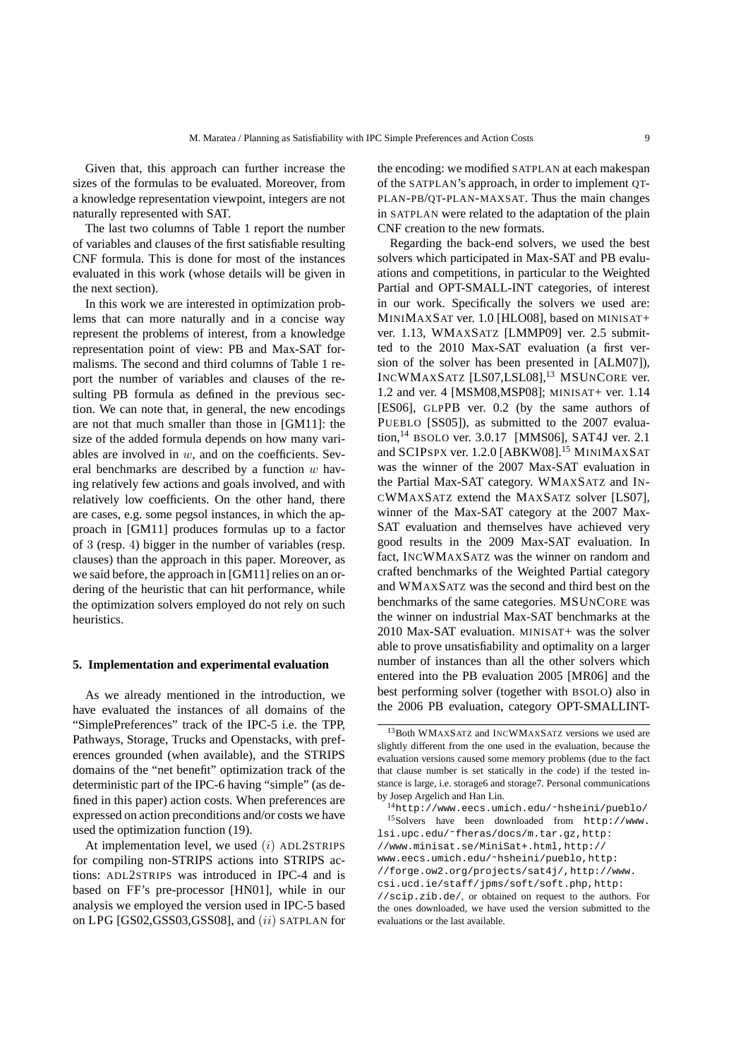Given that, this approach can further increase the sizes of the formulas to be evaluated. Moreover, from a knowledge representation viewpoint, integers are not naturally represented with SAT.

The last two columns of Table 1 report the number of variables and clauses of the first satisfiable resulting CNF formula. This is done for most of the instances evaluated in this work (whose details will be given in the next section).

In this work we are interested in optimization problems that can more naturally and in a concise way represent the problems of interest, from a knowledge representation point of view: PB and Max-SAT formalisms. The second and third columns of Table 1 report the number of variables and clauses of the resulting PB formula as defined in the previous section. We can note that, in general, the new encodings are not that much smaller than those in [GM11]: the size of the added formula depends on how many variables are involved in  $w$ , and on the coefficients. Several benchmarks are described by a function  $w$  having relatively few actions and goals involved, and with relatively low coefficients. On the other hand, there are cases, e.g. some pegsol instances, in which the approach in [GM11] produces formulas up to a factor of 3 (resp. 4) bigger in the number of variables (resp. clauses) than the approach in this paper. Moreover, as we said before, the approach in [GM11] relies on an ordering of the heuristic that can hit performance, while the optimization solvers employed do not rely on such heuristics.

#### **5. Implementation and experimental evaluation**

As we already mentioned in the introduction, we have evaluated the instances of all domains of the "SimplePreferences" track of the IPC-5 i.e. the TPP, Pathways, Storage, Trucks and Openstacks, with preferences grounded (when available), and the STRIPS domains of the "net benefit" optimization track of the deterministic part of the IPC-6 having "simple" (as defined in this paper) action costs. When preferences are expressed on action preconditions and/or costs we have used the optimization function (19).

At implementation level, we used  $(i)$  ADL2STRIPS for compiling non-STRIPS actions into STRIPS actions: ADL2STRIPS was introduced in IPC-4 and is based on FF's pre-processor [HN01], while in our analysis we employed the version used in IPC-5 based on LPG [GS02,GSS03,GSS08], and (ii) SATPLAN for the encoding: we modified SATPLAN at each makespan of the SATPLAN's approach, in order to implement QT-PLAN-PB/QT-PLAN-MAXSAT. Thus the main changes in SATPLAN were related to the adaptation of the plain CNF creation to the new formats.

Regarding the back-end solvers, we used the best solvers which participated in Max-SAT and PB evaluations and competitions, in particular to the Weighted Partial and OPT-SMALL-INT categories, of interest in our work. Specifically the solvers we used are: MINIMAXSAT ver. 1.0 [HLO08], based on MINISAT+ ver. 1.13, WMAXSATZ [LMMP09] ver. 2.5 submitted to the 2010 Max-SAT evaluation (a first version of the solver has been presented in [ALM07]), INCWMAXSATZ [LS07,LSL08],<sup>13</sup> MSUNCORE ver. 1.2 and ver. 4 [MSM08,MSP08]; MINISAT+ ver. 1.14 [ES06], GLPPB ver. 0.2 (by the same authors of PUEBLO [SS05]), as submitted to the 2007 evaluation,<sup>14</sup> BSOLO ver. 3.0.17 [MMS06], SAT4J ver. 2.1 and SCIPSPX ver. 1.2.0 [ABKW08].<sup>15</sup> MINIMAXSAT was the winner of the 2007 Max-SAT evaluation in the Partial Max-SAT category. WMAXSATZ and IN-CWMAXSATZ extend the MAXSATZ solver [LS07], winner of the Max-SAT category at the 2007 Max-SAT evaluation and themselves have achieved very good results in the 2009 Max-SAT evaluation. In fact, INCWMAXSATZ was the winner on random and crafted benchmarks of the Weighted Partial category and WMAXSATZ was the second and third best on the benchmarks of the same categories. MSUNCORE was the winner on industrial Max-SAT benchmarks at the 2010 Max-SAT evaluation. MINISAT+ was the solver able to prove unsatisfiability and optimality on a larger number of instances than all the other solvers which entered into the PB evaluation 2005 [MR06] and the best performing solver (together with BSOLO) also in the 2006 PB evaluation, category OPT-SMALLINT-

<sup>13</sup>Both WMAXSATZ and INCWMAXSATZ versions we used are slightly different from the one used in the evaluation, because the evaluation versions caused some memory problems (due to the fact that clause number is set statically in the code) if the tested instance is large, i.e. storage6 and storage7. Personal communications by Josep Argelich and Han Lin.

<sup>14</sup>http://www.eecs.umich.edu/˜hsheini/pueblo/ <sup>15</sup>Solvers have been downloaded from http://www. lsi.upc.edu/˜fheras/docs/m.tar.gz,http: //www.minisat.se/MiniSat+.html,http:// www.eecs.umich.edu/˜hsheini/pueblo,http: //forge.ow2.org/projects/sat4j/,http://www. csi.ucd.ie/staff/jpms/soft/soft.php,http: //scip.zib.de/, or obtained on request to the authors. For the ones downloaded, we have used the version submitted to the evaluations or the last available.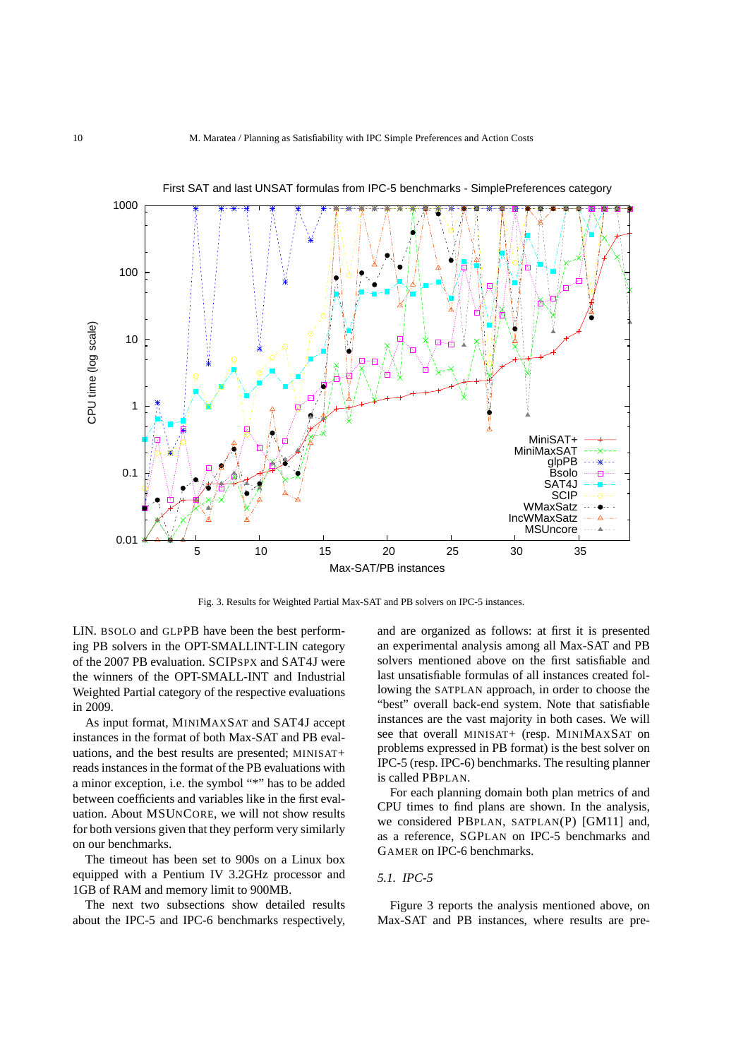

First SAT and last UNSAT formulas from IPC-5 benchmarks - SimplePreferences category

Fig. 3. Results for Weighted Partial Max-SAT and PB solvers on IPC-5 instances.

LIN. BSOLO and GLPPB have been the best performing PB solvers in the OPT-SMALLINT-LIN category of the 2007 PB evaluation. SCIPSPX and SAT4J were the winners of the OPT-SMALL-INT and Industrial Weighted Partial category of the respective evaluations in 2009.

As input format, MINIMAXSAT and SAT4J accept instances in the format of both Max-SAT and PB evaluations, and the best results are presented; MINISAT+ reads instances in the format of the PB evaluations with a minor exception, i.e. the symbol "\*" has to be added between coefficients and variables like in the first evaluation. About MSUNCORE, we will not show results for both versions given that they perform very similarly on our benchmarks.

The timeout has been set to 900s on a Linux box equipped with a Pentium IV 3.2GHz processor and 1GB of RAM and memory limit to 900MB.

The next two subsections show detailed results about the IPC-5 and IPC-6 benchmarks respectively,

and are organized as follows: at first it is presented an experimental analysis among all Max-SAT and PB solvers mentioned above on the first satisfiable and last unsatisfiable formulas of all instances created following the SATPLAN approach, in order to choose the "best" overall back-end system. Note that satisfiable instances are the vast majority in both cases. We will see that overall MINISAT+ (resp. MINIMAXSAT on problems expressed in PB format) is the best solver on IPC-5 (resp. IPC-6) benchmarks. The resulting planner is called PBPLAN.

For each planning domain both plan metrics of and CPU times to find plans are shown. In the analysis, we considered PBPLAN, SATPLAN(P) [GM11] and, as a reference, SGPLAN on IPC-5 benchmarks and GAMER on IPC-6 benchmarks.

# *5.1. IPC-5*

Figure 3 reports the analysis mentioned above, on Max-SAT and PB instances, where results are pre-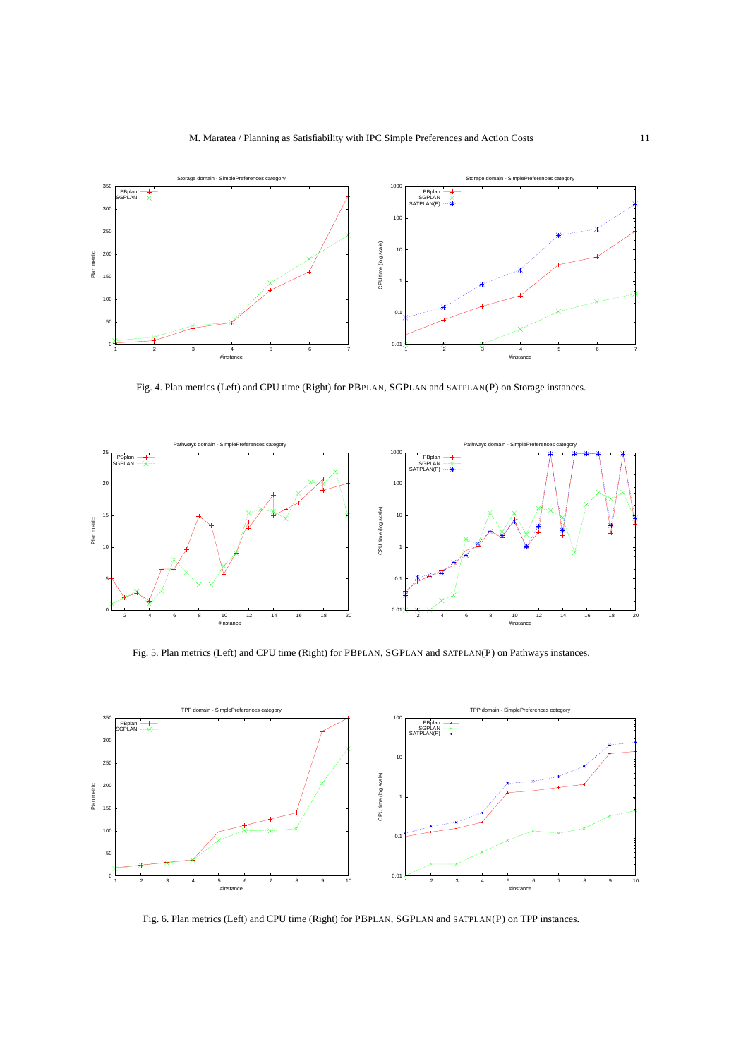

Fig. 4. Plan metrics (Left) and CPU time (Right) for PBPLAN, SGPLAN and SATPLAN(P) on Storage instances.



Fig. 5. Plan metrics (Left) and CPU time (Right) for PBPLAN, SGPLAN and SATPLAN(P) on Pathways instances.



Fig. 6. Plan metrics (Left) and CPU time (Right) for PBPLAN, SGPLAN and SATPLAN(P) on TPP instances.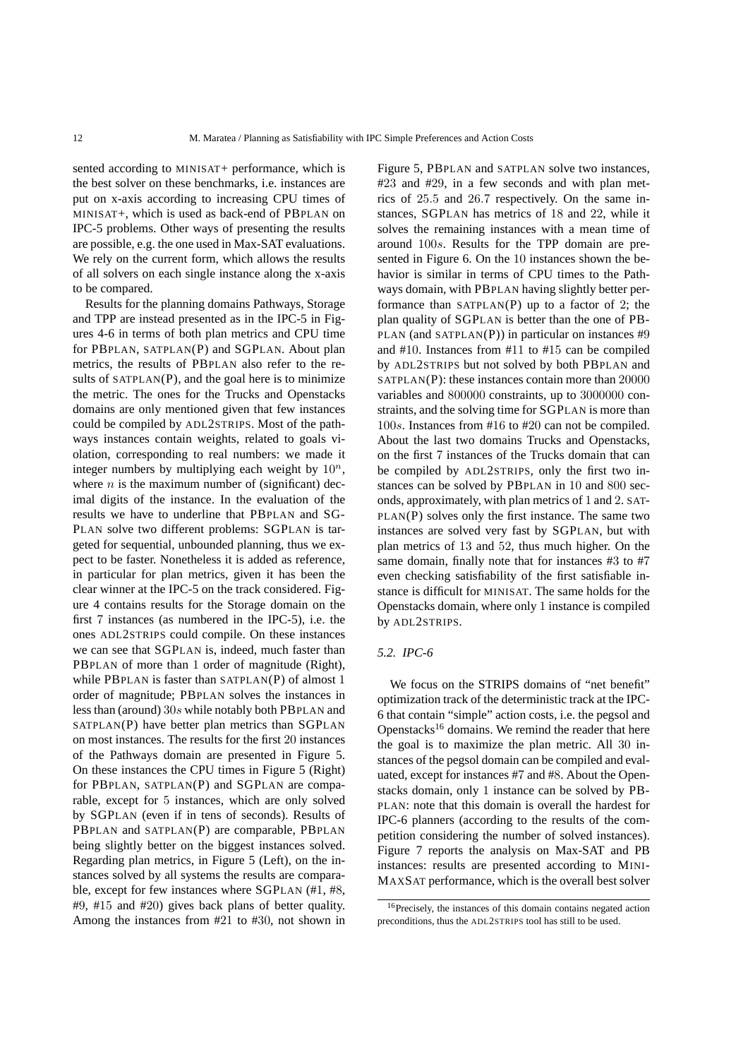sented according to MINISAT+ performance, which is the best solver on these benchmarks, i.e. instances are put on x-axis according to increasing CPU times of MINISAT+, which is used as back-end of PBPLAN on IPC-5 problems. Other ways of presenting the results are possible, e.g. the one used in Max-SAT evaluations. We rely on the current form, which allows the results of all solvers on each single instance along the x-axis to be compared.

Results for the planning domains Pathways, Storage and TPP are instead presented as in the IPC-5 in Figures 4-6 in terms of both plan metrics and CPU time for PBPLAN, SATPLAN(P) and SGPLAN. About plan metrics, the results of PBPLAN also refer to the results of  $SATPLAN(P)$ , and the goal here is to minimize the metric. The ones for the Trucks and Openstacks domains are only mentioned given that few instances could be compiled by ADL2STRIPS. Most of the pathways instances contain weights, related to goals violation, corresponding to real numbers: we made it integer numbers by multiplying each weight by  $10^n$ , where  $n$  is the maximum number of (significant) decimal digits of the instance. In the evaluation of the results we have to underline that PBPLAN and SG-PLAN solve two different problems: SGPLAN is targeted for sequential, unbounded planning, thus we expect to be faster. Nonetheless it is added as reference, in particular for plan metrics, given it has been the clear winner at the IPC-5 on the track considered. Figure 4 contains results for the Storage domain on the first 7 instances (as numbered in the IPC-5), i.e. the ones ADL2STRIPS could compile. On these instances we can see that SGPLAN is, indeed, much faster than PBPLAN of more than 1 order of magnitude (Right), while PBPLAN is faster than SATPLAN(P) of almost 1 order of magnitude; PBPLAN solves the instances in less than (around) 30s while notably both PBPLAN and SATPLAN(P) have better plan metrics than SGPLAN on most instances. The results for the first 20 instances of the Pathways domain are presented in Figure 5. On these instances the CPU times in Figure 5 (Right) for PBPLAN, SATPLAN(P) and SGPLAN are comparable, except for 5 instances, which are only solved by SGPLAN (even if in tens of seconds). Results of PBPLAN and SATPLAN(P) are comparable, PBPLAN being slightly better on the biggest instances solved. Regarding plan metrics, in Figure 5 (Left), on the instances solved by all systems the results are comparable, except for few instances where SGPLAN (#1, #8, #9, #15 and #20) gives back plans of better quality. Among the instances from #21 to #30, not shown in Figure 5, PBPLAN and SATPLAN solve two instances, #23 and #29, in a few seconds and with plan metrics of 25.5 and 26.7 respectively. On the same instances, SGPLAN has metrics of 18 and 22, while it solves the remaining instances with a mean time of around 100s. Results for the TPP domain are presented in Figure 6. On the 10 instances shown the behavior is similar in terms of CPU times to the Pathways domain, with PBPLAN having slightly better performance than  $SATPLAN(P)$  up to a factor of 2; the plan quality of SGPLAN is better than the one of PB-PLAN (and SATPLAN $(P)$ ) in particular on instances #9 and #10. Instances from #11 to #15 can be compiled by ADL2STRIPS but not solved by both PBPLAN and SATPLAN(P): these instances contain more than 20000 variables and 800000 constraints, up to 3000000 constraints, and the solving time for SGPLAN is more than 100s. Instances from #16 to #20 can not be compiled. About the last two domains Trucks and Openstacks, on the first 7 instances of the Trucks domain that can be compiled by ADL2STRIPS, only the first two instances can be solved by PBPLAN in 10 and 800 seconds, approximately, with plan metrics of 1 and 2. SAT-PLAN(P) solves only the first instance. The same two instances are solved very fast by SGPLAN, but with plan metrics of 13 and 52, thus much higher. On the same domain, finally note that for instances #3 to #7 even checking satisfiability of the first satisfiable instance is difficult for MINISAT. The same holds for the Openstacks domain, where only 1 instance is compiled by ADL2STRIPS.

# *5.2. IPC-6*

We focus on the STRIPS domains of "net benefit" optimization track of the deterministic track at the IPC-6 that contain "simple" action costs, i.e. the pegsol and Openstacks<sup>16</sup> domains. We remind the reader that here the goal is to maximize the plan metric. All 30 instances of the pegsol domain can be compiled and evaluated, except for instances #7 and #8. About the Openstacks domain, only 1 instance can be solved by PB-PLAN: note that this domain is overall the hardest for IPC-6 planners (according to the results of the competition considering the number of solved instances). Figure 7 reports the analysis on Max-SAT and PB instances: results are presented according to MINI-MAXSAT performance, which is the overall best solver

<sup>16</sup>Precisely, the instances of this domain contains negated action preconditions, thus the ADL2STRIPS tool has still to be used.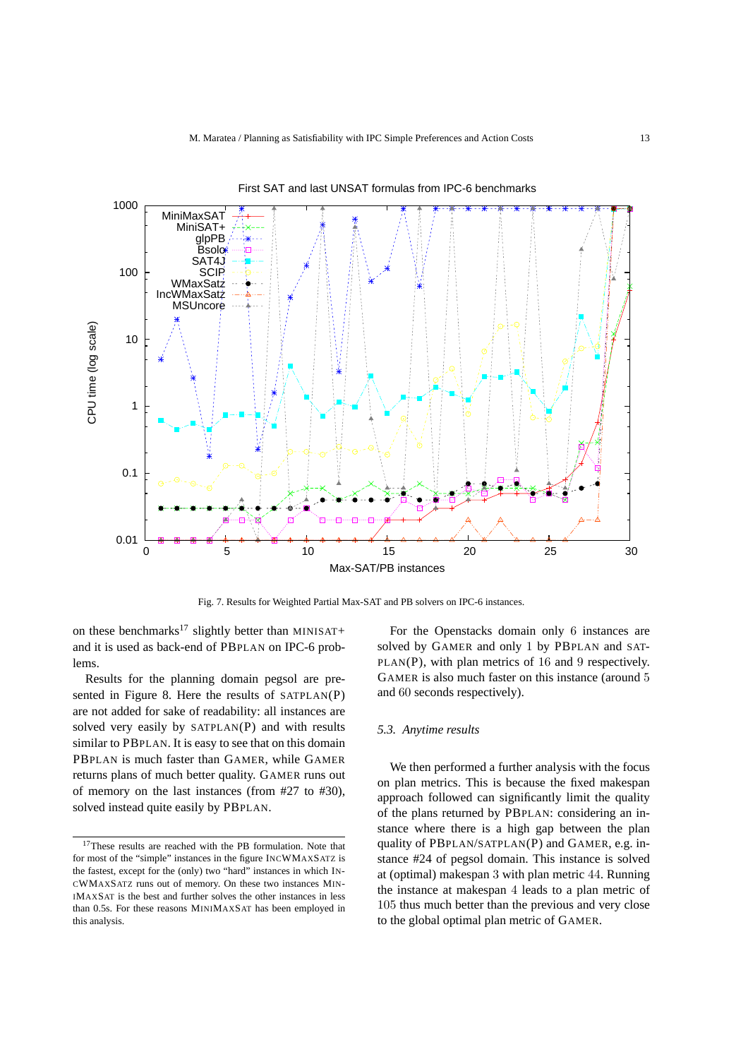

First SAT and last UNSAT formulas from IPC-6 benchmarks

Fig. 7. Results for Weighted Partial Max-SAT and PB solvers on IPC-6 instances.

on these benchmarks<sup>17</sup> slightly better than MINISAT+ and it is used as back-end of PBPLAN on IPC-6 problems.

Results for the planning domain pegsol are presented in Figure 8. Here the results of SATPLAN(P) are not added for sake of readability: all instances are solved very easily by SATPLAN(P) and with results similar to PBPLAN. It is easy to see that on this domain PBPLAN is much faster than GAMER, while GAMER returns plans of much better quality. GAMER runs out of memory on the last instances (from #27 to #30), solved instead quite easily by PBPLAN.

For the Openstacks domain only 6 instances are solved by GAMER and only 1 by PBPLAN and SAT-PLAN(P), with plan metrics of 16 and 9 respectively. GAMER is also much faster on this instance (around 5 and 60 seconds respectively).

## *5.3. Anytime results*

We then performed a further analysis with the focus on plan metrics. This is because the fixed makespan approach followed can significantly limit the quality of the plans returned by PBPLAN: considering an instance where there is a high gap between the plan quality of PBPLAN/SATPLAN(P) and GAMER, e.g. instance #24 of pegsol domain. This instance is solved at (optimal) makespan 3 with plan metric 44. Running the instance at makespan 4 leads to a plan metric of 105 thus much better than the previous and very close to the global optimal plan metric of GAMER.

<sup>&</sup>lt;sup>17</sup>These results are reached with the PB formulation. Note that for most of the "simple" instances in the figure INCWMAXSATZ is the fastest, except for the (only) two "hard" instances in which IN-CWMAXSATZ runs out of memory. On these two instances MIN-IMAXSAT is the best and further solves the other instances in less than 0.5s. For these reasons MINIMAXSAT has been employed in this analysis.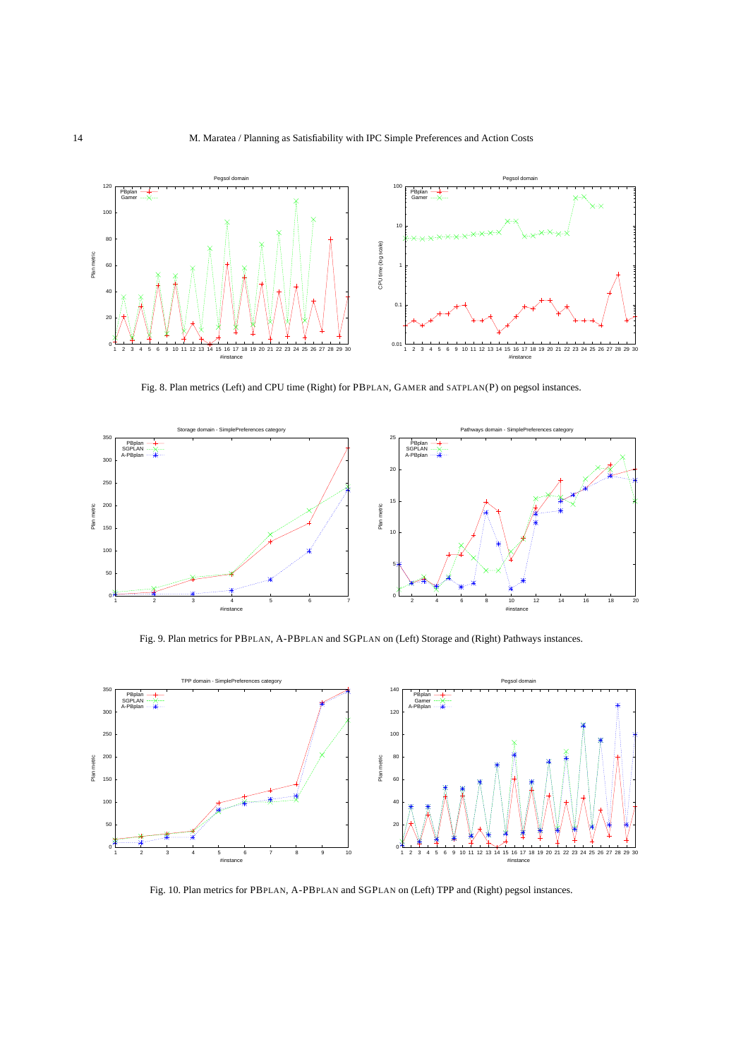

Fig. 8. Plan metrics (Left) and CPU time (Right) for PBPLAN, GAMER and SATPLAN(P) on pegsol instances.



Fig. 9. Plan metrics for PBPLAN, A-PBPLAN and SGPLAN on (Left) Storage and (Right) Pathways instances.



Fig. 10. Plan metrics for PBPLAN, A-PBPLAN and SGPLAN on (Left) TPP and (Right) pegsol instances.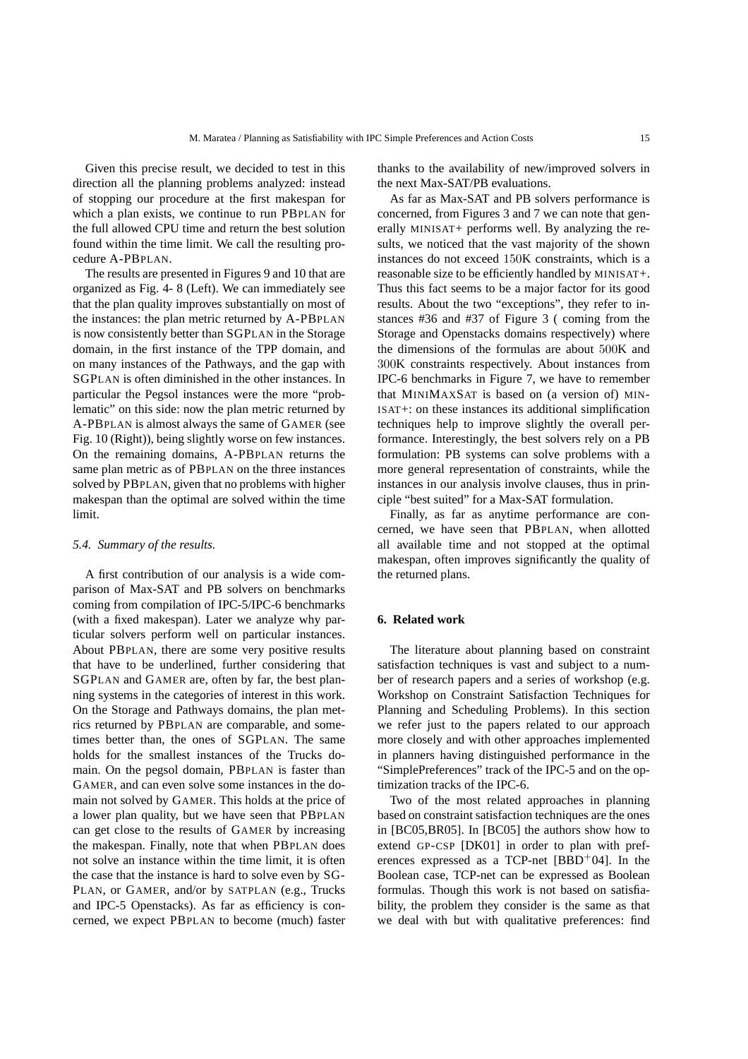Given this precise result, we decided to test in this direction all the planning problems analyzed: instead of stopping our procedure at the first makespan for which a plan exists, we continue to run PBPLAN for the full allowed CPU time and return the best solution found within the time limit. We call the resulting procedure A-PBPLAN.

The results are presented in Figures 9 and 10 that are organized as Fig. 4- 8 (Left). We can immediately see that the plan quality improves substantially on most of the instances: the plan metric returned by A-PBPLAN is now consistently better than SGPLAN in the Storage domain, in the first instance of the TPP domain, and on many instances of the Pathways, and the gap with SGPLAN is often diminished in the other instances. In particular the Pegsol instances were the more "problematic" on this side: now the plan metric returned by A-PBPLAN is almost always the same of GAMER (see Fig. 10 (Right)), being slightly worse on few instances. On the remaining domains, A-PBPLAN returns the same plan metric as of PBPLAN on the three instances solved by PBPLAN, given that no problems with higher makespan than the optimal are solved within the time limit.

# *5.4. Summary of the results.*

A first contribution of our analysis is a wide comparison of Max-SAT and PB solvers on benchmarks coming from compilation of IPC-5/IPC-6 benchmarks (with a fixed makespan). Later we analyze why particular solvers perform well on particular instances. About PBPLAN, there are some very positive results that have to be underlined, further considering that SGPLAN and GAMER are, often by far, the best planning systems in the categories of interest in this work. On the Storage and Pathways domains, the plan metrics returned by PBPLAN are comparable, and sometimes better than, the ones of SGPLAN. The same holds for the smallest instances of the Trucks domain. On the pegsol domain, PBPLAN is faster than GAMER, and can even solve some instances in the domain not solved by GAMER. This holds at the price of a lower plan quality, but we have seen that PBPLAN can get close to the results of GAMER by increasing the makespan. Finally, note that when PBPLAN does not solve an instance within the time limit, it is often the case that the instance is hard to solve even by SG-PLAN, or GAMER, and/or by SATPLAN (e.g., Trucks and IPC-5 Openstacks). As far as efficiency is concerned, we expect PBPLAN to become (much) faster thanks to the availability of new/improved solvers in the next Max-SAT/PB evaluations.

As far as Max-SAT and PB solvers performance is concerned, from Figures 3 and 7 we can note that generally MINISAT+ performs well. By analyzing the results, we noticed that the vast majority of the shown instances do not exceed 150K constraints, which is a reasonable size to be efficiently handled by MINISAT+. Thus this fact seems to be a major factor for its good results. About the two "exceptions", they refer to instances #36 and #37 of Figure 3 ( coming from the Storage and Openstacks domains respectively) where the dimensions of the formulas are about 500K and 300K constraints respectively. About instances from IPC-6 benchmarks in Figure 7, we have to remember that MINIMAXSAT is based on (a version of) MIN-ISAT+: on these instances its additional simplification techniques help to improve slightly the overall performance. Interestingly, the best solvers rely on a PB formulation: PB systems can solve problems with a more general representation of constraints, while the instances in our analysis involve clauses, thus in principle "best suited" for a Max-SAT formulation.

Finally, as far as anytime performance are concerned, we have seen that PBPLAN, when allotted all available time and not stopped at the optimal makespan, often improves significantly the quality of the returned plans.

# **6. Related work**

The literature about planning based on constraint satisfaction techniques is vast and subject to a number of research papers and a series of workshop (e.g. Workshop on Constraint Satisfaction Techniques for Planning and Scheduling Problems). In this section we refer just to the papers related to our approach more closely and with other approaches implemented in planners having distinguished performance in the "SimplePreferences" track of the IPC-5 and on the optimization tracks of the IPC-6.

Two of the most related approaches in planning based on constraint satisfaction techniques are the ones in [BC05,BR05]. In [BC05] the authors show how to extend GP-CSP [DK01] in order to plan with preferences expressed as a TCP-net  $[BBD^+04]$ . In the Boolean case, TCP-net can be expressed as Boolean formulas. Though this work is not based on satisfiability, the problem they consider is the same as that we deal with but with qualitative preferences: find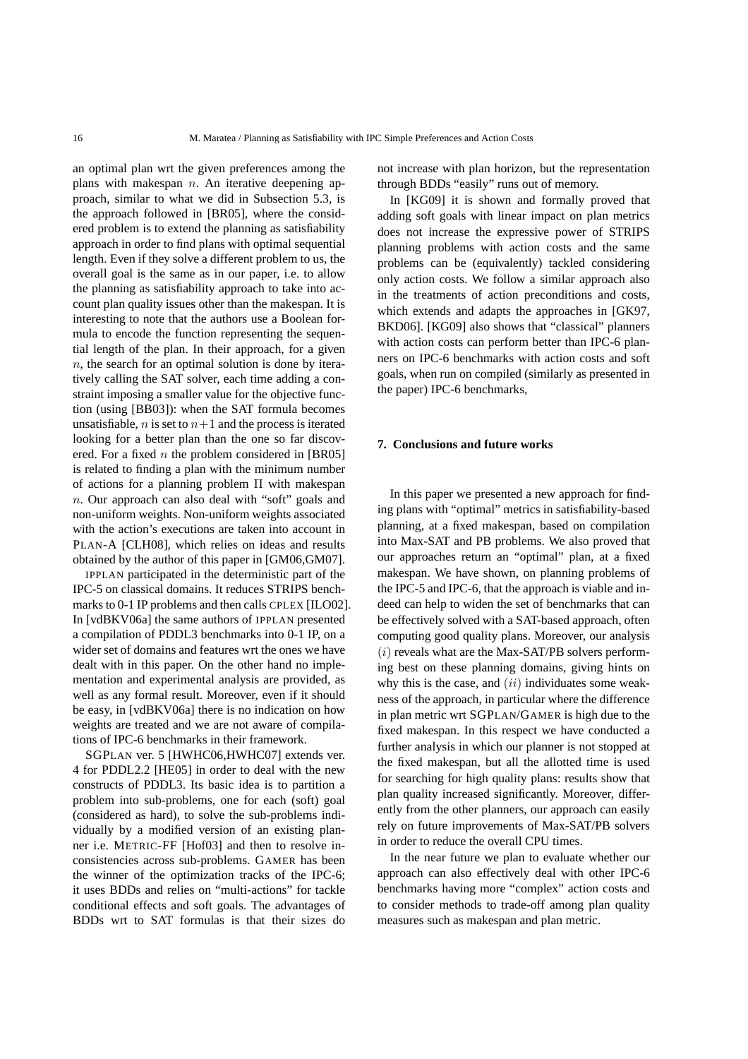an optimal plan wrt the given preferences among the plans with makespan  $n$ . An iterative deepening approach, similar to what we did in Subsection 5.3, is the approach followed in [BR05], where the considered problem is to extend the planning as satisfiability approach in order to find plans with optimal sequential length. Even if they solve a different problem to us, the overall goal is the same as in our paper, i.e. to allow the planning as satisfiability approach to take into account plan quality issues other than the makespan. It is interesting to note that the authors use a Boolean formula to encode the function representing the sequential length of the plan. In their approach, for a given  $n$ , the search for an optimal solution is done by iteratively calling the SAT solver, each time adding a constraint imposing a smaller value for the objective function (using [BB03]): when the SAT formula becomes unsatisfiable, *n* is set to  $n+1$  and the process is iterated looking for a better plan than the one so far discovered. For a fixed  $n$  the problem considered in [BR05] is related to finding a plan with the minimum number of actions for a planning problem Π with makespan n. Our approach can also deal with "soft" goals and non-uniform weights. Non-uniform weights associated with the action's executions are taken into account in PLAN-A [CLH08], which relies on ideas and results obtained by the author of this paper in [GM06,GM07].

IPPLAN participated in the deterministic part of the IPC-5 on classical domains. It reduces STRIPS benchmarks to 0-1 IP problems and then calls CPLEX [ILO02]. In [vdBKV06a] the same authors of IPPLAN presented a compilation of PDDL3 benchmarks into 0-1 IP, on a wider set of domains and features wrt the ones we have dealt with in this paper. On the other hand no implementation and experimental analysis are provided, as well as any formal result. Moreover, even if it should be easy, in [vdBKV06a] there is no indication on how weights are treated and we are not aware of compilations of IPC-6 benchmarks in their framework.

SGPLAN ver. 5 [HWHC06,HWHC07] extends ver. 4 for PDDL2.2 [HE05] in order to deal with the new constructs of PDDL3. Its basic idea is to partition a problem into sub-problems, one for each (soft) goal (considered as hard), to solve the sub-problems individually by a modified version of an existing planner i.e. METRIC-FF [Hof03] and then to resolve inconsistencies across sub-problems. GAMER has been the winner of the optimization tracks of the IPC-6; it uses BDDs and relies on "multi-actions" for tackle conditional effects and soft goals. The advantages of BDDs wrt to SAT formulas is that their sizes do not increase with plan horizon, but the representation through BDDs "easily" runs out of memory.

In [KG09] it is shown and formally proved that adding soft goals with linear impact on plan metrics does not increase the expressive power of STRIPS planning problems with action costs and the same problems can be (equivalently) tackled considering only action costs. We follow a similar approach also in the treatments of action preconditions and costs, which extends and adapts the approaches in [GK97, BKD06]. [KG09] also shows that "classical" planners with action costs can perform better than IPC-6 planners on IPC-6 benchmarks with action costs and soft goals, when run on compiled (similarly as presented in the paper) IPC-6 benchmarks,

# **7. Conclusions and future works**

In this paper we presented a new approach for finding plans with "optimal" metrics in satisfiability-based planning, at a fixed makespan, based on compilation into Max-SAT and PB problems. We also proved that our approaches return an "optimal" plan, at a fixed makespan. We have shown, on planning problems of the IPC-5 and IPC-6, that the approach is viable and indeed can help to widen the set of benchmarks that can be effectively solved with a SAT-based approach, often computing good quality plans. Moreover, our analysis  $(i)$  reveals what are the Max-SAT/PB solvers performing best on these planning domains, giving hints on why this is the case, and  $(ii)$  individuates some weakness of the approach, in particular where the difference in plan metric wrt SGPLAN/GAMER is high due to the fixed makespan. In this respect we have conducted a further analysis in which our planner is not stopped at the fixed makespan, but all the allotted time is used for searching for high quality plans: results show that plan quality increased significantly. Moreover, differently from the other planners, our approach can easily rely on future improvements of Max-SAT/PB solvers in order to reduce the overall CPU times.

In the near future we plan to evaluate whether our approach can also effectively deal with other IPC-6 benchmarks having more "complex" action costs and to consider methods to trade-off among plan quality measures such as makespan and plan metric.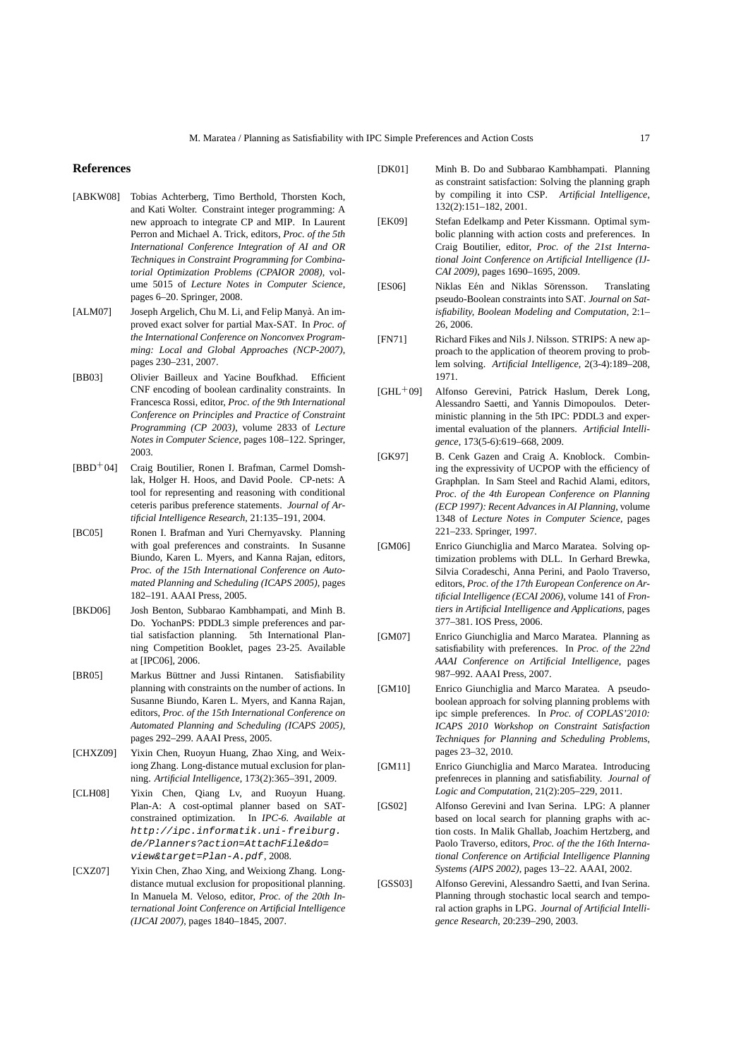#### **References**

- [ABKW08] Tobias Achterberg, Timo Berthold, Thorsten Koch, and Kati Wolter. Constraint integer programming: A new approach to integrate CP and MIP. In Laurent Perron and Michael A. Trick, editors, *Proc. of the 5th International Conference Integration of AI and OR Techniques in Constraint Programming for Combinatorial Optimization Problems (CPAIOR 2008)*, volume 5015 of *Lecture Notes in Computer Science*, pages 6–20. Springer, 2008.
- [ALM07] Joseph Argelich, Chu M. Li, and Felip Manyà. An improved exact solver for partial Max-SAT. In *Proc. of the International Conference on Nonconvex Programming: Local and Global Approaches (NCP-2007)*, pages 230–231, 2007.
- [BB03] Olivier Bailleux and Yacine Boufkhad. Efficient CNF encoding of boolean cardinality constraints. In Francesca Rossi, editor, *Proc. of the 9th International Conference on Principles and Practice of Constraint Programming (CP 2003)*, volume 2833 of *Lecture Notes in Computer Science*, pages 108–122. Springer, 2003.
- [BBD+04] Craig Boutilier, Ronen I. Brafman, Carmel Domshlak, Holger H. Hoos, and David Poole. CP-nets: A tool for representing and reasoning with conditional ceteris paribus preference statements. *Journal of Artificial Intelligence Research*, 21:135–191, 2004.
- [BC05] Ronen I. Brafman and Yuri Chernyavsky. Planning with goal preferences and constraints. In Susanne Biundo, Karen L. Myers, and Kanna Rajan, editors, *Proc. of the 15th International Conference on Automated Planning and Scheduling (ICAPS 2005)*, pages 182–191. AAAI Press, 2005.
- [BKD06] Josh Benton, Subbarao Kambhampati, and Minh B. Do. YochanPS: PDDL3 simple preferences and partial satisfaction planning. 5th International Planning Competition Booklet, pages 23-25. Available at [IPC06], 2006.
- [BR05] Markus Büttner and Jussi Rintanen. Satisfiability planning with constraints on the number of actions. In Susanne Biundo, Karen L. Myers, and Kanna Rajan, editors, *Proc. of the 15th International Conference on Automated Planning and Scheduling (ICAPS 2005)*, pages 292–299. AAAI Press, 2005.
- [CHXZ09] Yixin Chen, Ruoyun Huang, Zhao Xing, and Weixiong Zhang. Long-distance mutual exclusion for planning. *Artificial Intelligence*, 173(2):365–391, 2009.
- [CLH08] Yixin Chen, Qiang Ly, and Ruoyun Huang. Plan-A: A cost-optimal planner based on SATconstrained optimization. In *IPC-6. Available at* http://ipc.informatik.uni-freiburg. de/Planners?action=AttachFile&do= view&target=Plan-A.pdf, 2008.
- [CXZ07] Yixin Chen, Zhao Xing, and Weixiong Zhang. Longdistance mutual exclusion for propositional planning. In Manuela M. Veloso, editor, *Proc. of the 20th International Joint Conference on Artificial Intelligence (IJCAI 2007)*, pages 1840–1845, 2007.
- [DK01] Minh B. Do and Subbarao Kambhampati. Planning as constraint satisfaction: Solving the planning graph by compiling it into CSP. *Artificial Intelligence*, 132(2):151–182, 2001.
- [EK09] Stefan Edelkamp and Peter Kissmann. Optimal symbolic planning with action costs and preferences. In Craig Boutilier, editor, *Proc. of the 21st International Joint Conference on Artificial Intelligence (IJ-CAI 2009)*, pages 1690–1695, 2009.
- [ES06] Niklas Eén and Niklas Sörensson. Translating pseudo-Boolean constraints into SAT. *Journal on Satisfiability, Boolean Modeling and Computation*, 2:1– 26, 2006.
- [FN71] Richard Fikes and Nils J. Nilsson. STRIPS: A new approach to the application of theorem proving to problem solving. *Artificial Intelligence*, 2(3-4):189–208, 1971.
- [GHL+09] Alfonso Gerevini, Patrick Haslum, Derek Long, Alessandro Saetti, and Yannis Dimopoulos. Deterministic planning in the 5th IPC: PDDL3 and experimental evaluation of the planners. *Artificial Intelligence*, 173(5-6):619–668, 2009.
- [GK97] B. Cenk Gazen and Craig A. Knoblock. Combining the expressivity of UCPOP with the efficiency of Graphplan. In Sam Steel and Rachid Alami, editors, *Proc. of the 4th European Conference on Planning (ECP 1997): Recent Advances in AI Planning*, volume 1348 of *Lecture Notes in Computer Science*, pages 221–233. Springer, 1997.
- [GM06] Enrico Giunchiglia and Marco Maratea. Solving optimization problems with DLL. In Gerhard Brewka, Silvia Coradeschi, Anna Perini, and Paolo Traverso, editors, *Proc. of the 17th European Conference on Artificial Intelligence (ECAI 2006)*, volume 141 of *Frontiers in Artificial Intelligence and Applications*, pages 377–381. IOS Press, 2006.
- [GM07] Enrico Giunchiglia and Marco Maratea. Planning as satisfiability with preferences. In *Proc. of the 22nd AAAI Conference on Artificial Intelligence*, pages 987–992. AAAI Press, 2007.
- [GM10] Enrico Giunchiglia and Marco Maratea. A pseudoboolean approach for solving planning problems with ipc simple preferences. In *Proc. of COPLAS'2010: ICAPS 2010 Workshop on Constraint Satisfaction Techniques for Planning and Scheduling Problems*, pages 23–32, 2010.
- [GM11] Enrico Giunchiglia and Marco Maratea. Introducing prefenreces in planning and satisfiability. *Journal of Logic and Computation*, 21(2):205–229, 2011.
- [GS02] Alfonso Gerevini and Ivan Serina. LPG: A planner based on local search for planning graphs with action costs. In Malik Ghallab, Joachim Hertzberg, and Paolo Traverso, editors, *Proc. of the the 16th International Conference on Artificial Intelligence Planning Systems (AIPS 2002)*, pages 13–22. AAAI, 2002.
- [GSS03] Alfonso Gerevini, Alessandro Saetti, and Ivan Serina. Planning through stochastic local search and temporal action graphs in LPG. *Journal of Artificial Intelligence Research*, 20:239–290, 2003.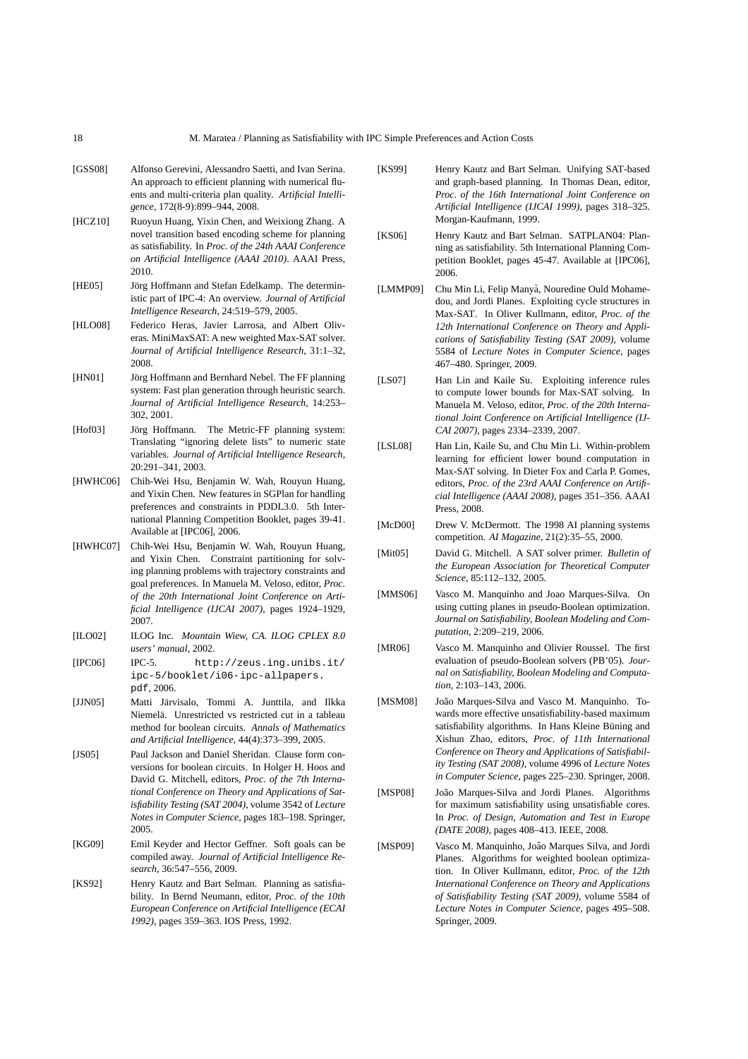- [GSS08] Alfonso Gerevini, Alessandro Saetti, and Ivan Serina. An approach to efficient planning with numerical fluents and multi-criteria plan quality. *Artificial Intelligence*, 172(8-9):899–944, 2008.
- [HCZ10] Ruoyun Huang, Yixin Chen, and Weixiong Zhang. A novel transition based encoding scheme for planning as satisfiability. In *Proc. of the 24th AAAI Conference on Artificial Intelligence (AAAI 2010)*. AAAI Press, 2010.
- [HE05] Jörg Hoffmann and Stefan Edelkamp. The deterministic part of IPC-4: An overview. *Journal of Artificial Intelligence Research*, 24:519–579, 2005.
- [HLO08] Federico Heras, Javier Larrosa, and Albert Oliveras. MiniMaxSAT: A new weighted Max-SAT solver. *Journal of Artificial Intelligence Research*, 31:1–32, 2008.
- [HN01] Jörg Hoffmann and Bernhard Nebel. The FF planning system: Fast plan generation through heuristic search. *Journal of Artificial Intelligence Research*, 14:253– 302, 2001.
- [Hof03] Jörg Hoffmann. The Metric-FF planning system: Translating "ignoring delete lists" to numeric state variables. *Journal of Artificial Intelligence Research*, 20:291–341, 2003.
- [HWHC06] Chih-Wei Hsu, Benjamin W. Wah, Rouyun Huang, and Yixin Chen. New features in SGPlan for handling preferences and constraints in PDDL3.0. 5th International Planning Competition Booklet, pages 39-41. Available at [IPC06], 2006.
- [HWHC07] Chih-Wei Hsu, Benjamin W. Wah, Rouyun Huang, and Yixin Chen. Constraint partitioning for solving planning problems with trajectory constraints and goal preferences. In Manuela M. Veloso, editor, *Proc. of the 20th International Joint Conference on Artificial Intelligence (IJCAI 2007)*, pages 1924–1929, 2007.
- [ILO02] ILOG Inc. *Mountain Wiew, CA. ILOG CPLEX 8.0 users' manual*, 2002.
- [IPC06] IPC-5. http://zeus.ing.unibs.it/ ipc-5/booklet/i06-ipc-allpapers. pdf, 2006.
- [JJN05] Matti Järvisalo, Tommi A. Junttila, and Ilkka Niemelä. Unrestricted vs restricted cut in a tableau method for boolean circuits. *Annals of Mathematics and Artificial Intelligence*, 44(4):373–399, 2005.
- [JS05] Paul Jackson and Daniel Sheridan. Clause form conversions for boolean circuits. In Holger H. Hoos and David G. Mitchell, editors, *Proc. of the 7th International Conference on Theory and Applications of Satisfiability Testing (SAT 2004)*, volume 3542 of *Lecture Notes in Computer Science*, pages 183–198. Springer, 2005.
- [KG09] Emil Keyder and Hector Geffner. Soft goals can be compiled away. *Journal of Artificial Intelligence Research*, 36:547–556, 2009.
- [KS92] Henry Kautz and Bart Selman. Planning as satisfiability. In Bernd Neumann, editor, *Proc. of the 10th European Conference on Artificial Intelligence (ECAI 1992)*, pages 359–363. IOS Press, 1992.
- [KS99] Henry Kautz and Bart Selman. Unifying SAT-based and graph-based planning. In Thomas Dean, editor, *Proc. of the 16th International Joint Conference on Artificial Intelligence (IJCAI 1999)*, pages 318–325. Morgan-Kaufmann, 1999.
- [KS06] Henry Kautz and Bart Selman. SATPLAN04: Planning as satisfiability. 5th International Planning Competition Booklet, pages 45-47. Available at [IPC06], 2006.
- [LMMP09] Chu Min Li, Felip Manyà, Nouredine Ould Mohamedou, and Jordi Planes. Exploiting cycle structures in Max-SAT. In Oliver Kullmann, editor, *Proc. of the 12th International Conference on Theory and Applications of Satisfiability Testing (SAT 2009)*, volume 5584 of *Lecture Notes in Computer Science*, pages 467–480. Springer, 2009.
- [LS07] Han Lin and Kaile Su. Exploiting inference rules to compute lower bounds for Max-SAT solving. In Manuela M. Veloso, editor, *Proc. of the 20th International Joint Conference on Artificial Intelligence (IJ-CAI 2007)*, pages 2334–2339, 2007.
- [LSL08] Han Lin, Kaile Su, and Chu Min Li. Within-problem learning for efficient lower bound computation in Max-SAT solving. In Dieter Fox and Carla P. Gomes, editors, *Proc. of the 23rd AAAI Conference on Artificial Intelligence (AAAI 2008)*, pages 351–356. AAAI Press, 2008.
- [McD00] Drew V. McDermott. The 1998 AI planning systems competition. *AI Magazine*, 21(2):35–55, 2000.
- [Mit05] David G. Mitchell. A SAT solver primer. *Bulletin of the European Association for Theoretical Computer Science*, 85:112–132, 2005.
- [MMS06] Vasco M. Manquinho and Joao Marques-Silva. On using cutting planes in pseudo-Boolean optimization. *Journal on Satisfiability, Boolean Modeling and Computation*, 2:209–219, 2006.
- [MR06] Vasco M. Manquinho and Olivier Roussel. The first evaluation of pseudo-Boolean solvers (PB'05). *Journal on Satisfiability, Boolean Modeling and Computation*, 2:103–143, 2006.
- [MSM08] João Marques-Silva and Vasco M. Manquinho. Towards more effective unsatisfiability-based maximum satisfiability algorithms. In Hans Kleine Büning and Xishun Zhao, editors, *Proc. of 11th International Conference on Theory and Applications of Satisfiability Testing (SAT 2008)*, volume 4996 of *Lecture Notes in Computer Science*, pages 225–230. Springer, 2008.
- [MSP08] João Marques-Silva and Jordi Planes. Algorithms for maximum satisfiability using unsatisfiable cores. In *Proc. of Design, Automation and Test in Europe (DATE 2008)*, pages 408–413. IEEE, 2008.
- [MSP09] Vasco M. Manquinho, João Marques Silva, and Jordi Planes. Algorithms for weighted boolean optimization. In Oliver Kullmann, editor, *Proc. of the 12th International Conference on Theory and Applications of Satisfiability Testing (SAT 2009)*, volume 5584 of *Lecture Notes in Computer Science*, pages 495–508. Springer, 2009.